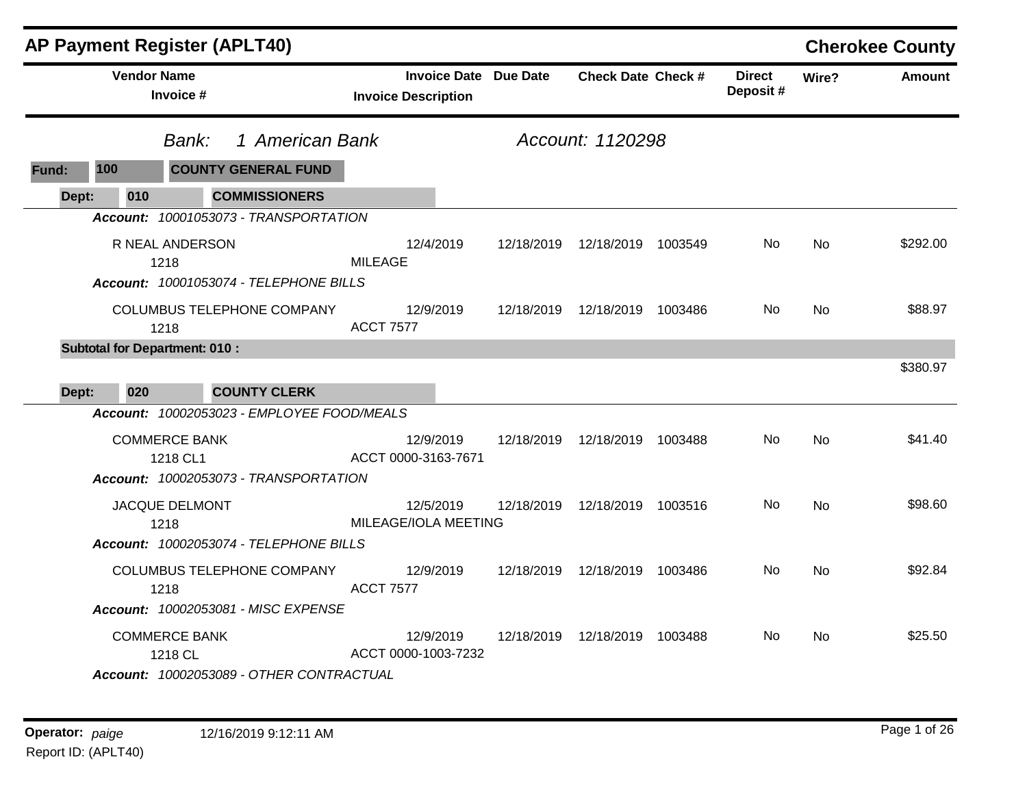|              | AP Payment Register (APLT40)                                                |                                                            |            |                                 |         |                           |       | <b>Cherokee County</b> |
|--------------|-----------------------------------------------------------------------------|------------------------------------------------------------|------------|---------------------------------|---------|---------------------------|-------|------------------------|
|              | <b>Vendor Name</b><br>Invoice #                                             | <b>Invoice Date Due Date</b><br><b>Invoice Description</b> |            | <b>Check Date Check #</b>       |         | <b>Direct</b><br>Deposit# | Wire? | Amount                 |
|              | 1 American Bank<br>Bank:                                                    |                                                            |            | Account: 1120298                |         |                           |       |                        |
| 100<br>Fund: | <b>COUNTY GENERAL FUND</b>                                                  |                                                            |            |                                 |         |                           |       |                        |
| Dept:        | <b>COMMISSIONERS</b><br>010                                                 |                                                            |            |                                 |         |                           |       |                        |
|              | Account: 10001053073 - TRANSPORTATION                                       |                                                            |            |                                 |         |                           |       |                        |
|              | R NEAL ANDERSON<br>1218<br>Account: 10001053074 - TELEPHONE BILLS           | 12/4/2019<br><b>MILEAGE</b>                                | 12/18/2019 | 12/18/2019                      | 1003549 | No.                       | No    | \$292.00               |
|              | COLUMBUS TELEPHONE COMPANY<br>1218                                          | 12/9/2019<br><b>ACCT 7577</b>                              |            | 12/18/2019  12/18/2019  1003486 |         | No.                       | No    | \$88.97                |
|              | <b>Subtotal for Department: 010:</b>                                        |                                                            |            |                                 |         |                           |       |                        |
|              |                                                                             |                                                            |            |                                 |         |                           |       | \$380.97               |
| Dept:        | <b>COUNTY CLERK</b><br>020                                                  |                                                            |            |                                 |         |                           |       |                        |
|              | Account: 10002053023 - EMPLOYEE FOOD/MEALS                                  |                                                            |            |                                 |         |                           |       |                        |
|              | <b>COMMERCE BANK</b><br>1218 CL1<br>Account: 10002053073 - TRANSPORTATION   | 12/9/2019<br>ACCT 0000-3163-7671                           |            | 12/18/2019  12/18/2019  1003488 |         | No                        | No    | \$41.40                |
|              | JACQUE DELMONT                                                              | 12/5/2019                                                  | 12/18/2019 | 12/18/2019 1003516              |         | No                        | No    | \$98.60                |
|              | 1218<br>Account: 10002053074 - TELEPHONE BILLS                              | MILEAGE/IOLA MEETING                                       |            |                                 |         |                           |       |                        |
|              | COLUMBUS TELEPHONE COMPANY                                                  | 12/9/2019                                                  |            | 12/18/2019  12/18/2019  1003486 |         | No.                       | No.   | \$92.84                |
|              | 1218                                                                        | <b>ACCT 7577</b>                                           |            |                                 |         |                           |       |                        |
|              | Account: 10002053081 - MISC EXPENSE                                         |                                                            |            |                                 |         |                           |       |                        |
|              | <b>COMMERCE BANK</b><br>1218 CL<br>Account: 10002053089 - OTHER CONTRACTUAL | 12/9/2019<br>ACCT 0000-1003-7232                           |            | 12/18/2019  12/18/2019  1003488 |         | No.                       | No    | \$25.50                |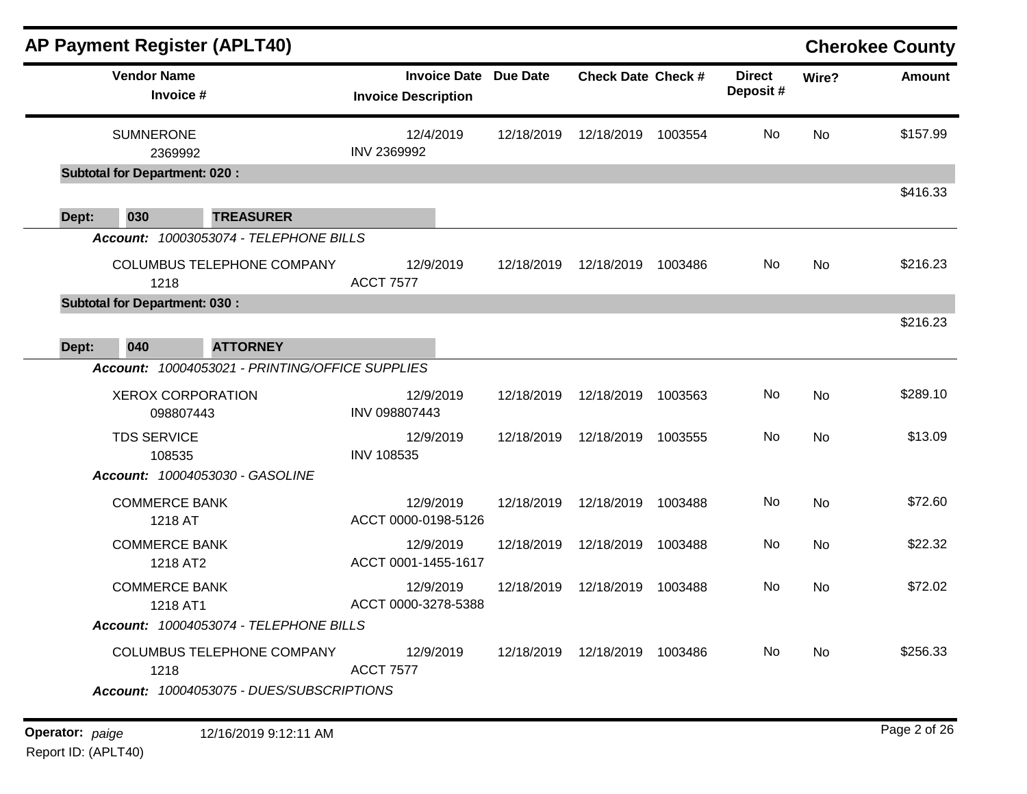|       | <b>AP Payment Register (APLT40)</b>   |                                                 |                  |                                                            |            |                           |         |                           |           | <b>Cherokee County</b> |
|-------|---------------------------------------|-------------------------------------------------|------------------|------------------------------------------------------------|------------|---------------------------|---------|---------------------------|-----------|------------------------|
|       | <b>Vendor Name</b><br>Invoice #       |                                                 |                  | <b>Invoice Date Due Date</b><br><b>Invoice Description</b> |            | <b>Check Date Check #</b> |         | <b>Direct</b><br>Deposit# | Wire?     | <b>Amount</b>          |
|       | <b>SUMNERONE</b><br>2369992           |                                                 | INV 2369992      | 12/4/2019                                                  | 12/18/2019 | 12/18/2019 1003554        |         | No                        | No        | \$157.99               |
|       | <b>Subtotal for Department: 020:</b>  |                                                 |                  |                                                            |            |                           |         |                           |           |                        |
| Dept: | 030                                   | <b>TREASURER</b>                                |                  |                                                            |            |                           |         |                           |           | \$416.33               |
|       |                                       | Account: 10003053074 - TELEPHONE BILLS          |                  |                                                            |            |                           |         |                           |           |                        |
|       | 1218                                  | COLUMBUS TELEPHONE COMPANY                      | <b>ACCT 7577</b> | 12/9/2019                                                  | 12/18/2019 | 12/18/2019                | 1003486 | No                        | <b>No</b> | \$216.23               |
|       | <b>Subtotal for Department: 030:</b>  |                                                 |                  |                                                            |            |                           |         |                           |           | \$216.23               |
| Dept: | 040                                   | <b>ATTORNEY</b>                                 |                  |                                                            |            |                           |         |                           |           |                        |
|       |                                       | Account: 10004053021 - PRINTING/OFFICE SUPPLIES |                  |                                                            |            |                           |         |                           |           |                        |
|       | <b>XEROX CORPORATION</b><br>098807443 |                                                 | INV 098807443    | 12/9/2019                                                  | 12/18/2019 | 12/18/2019 1003563        |         | No                        | No        | \$289.10               |
|       | <b>TDS SERVICE</b><br>108535          |                                                 | INV 108535       | 12/9/2019                                                  | 12/18/2019 | 12/18/2019                | 1003555 | No                        | <b>No</b> | \$13.09                |
|       |                                       | Account: 10004053030 - GASOLINE                 |                  |                                                            |            |                           |         |                           |           |                        |
|       | <b>COMMERCE BANK</b><br>1218 AT       |                                                 |                  | 12/9/2019<br>ACCT 0000-0198-5126                           | 12/18/2019 | 12/18/2019 1003488        |         | No.                       | <b>No</b> | \$72.60                |
|       | <b>COMMERCE BANK</b><br>1218 AT2      |                                                 |                  | 12/9/2019<br>ACCT 0001-1455-1617                           | 12/18/2019 | 12/18/2019                | 1003488 | No                        | <b>No</b> | \$22.32                |
|       | <b>COMMERCE BANK</b><br>1218 AT1      |                                                 |                  | 12/9/2019<br>ACCT 0000-3278-5388                           | 12/18/2019 | 12/18/2019                | 1003488 | No                        | <b>No</b> | \$72.02                |
|       |                                       | Account: 10004053074 - TELEPHONE BILLS          |                  |                                                            |            |                           |         |                           |           |                        |
|       | 1218                                  | COLUMBUS TELEPHONE COMPANY                      | <b>ACCT 7577</b> | 12/9/2019                                                  | 12/18/2019 | 12/18/2019 1003486        |         | No                        | No        | \$256.33               |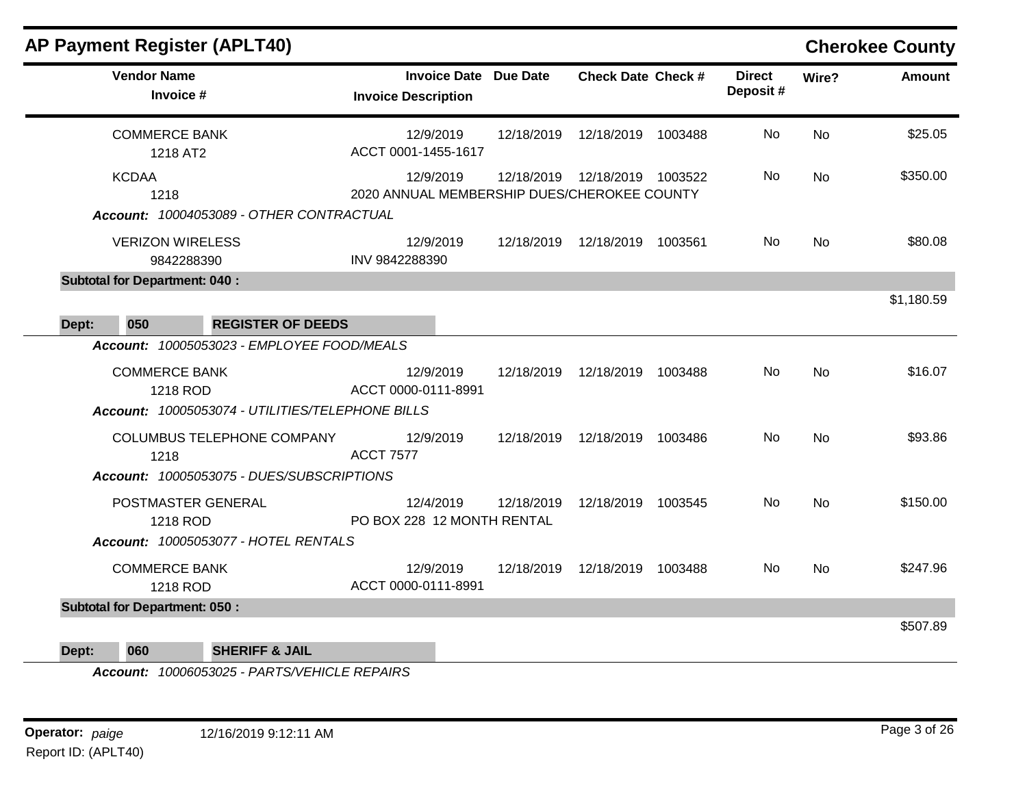| <b>AP Payment Register (APLT40)</b>                                                    |                                                            |            |                                 |                           |           | <b>Cherokee County</b> |
|----------------------------------------------------------------------------------------|------------------------------------------------------------|------------|---------------------------------|---------------------------|-----------|------------------------|
| <b>Vendor Name</b><br>Invoice #                                                        | <b>Invoice Date Due Date</b><br><b>Invoice Description</b> |            | <b>Check Date Check #</b>       | <b>Direct</b><br>Deposit# | Wire?     | <b>Amount</b>          |
| <b>COMMERCE BANK</b><br>1218 AT2                                                       | 12/9/2019<br>ACCT 0001-1455-1617                           | 12/18/2019 | 12/18/2019 1003488              | No.                       | <b>No</b> | \$25.05                |
| <b>KCDAA</b><br>1218                                                                   | 12/9/2019<br>2020 ANNUAL MEMBERSHIP DUES/CHEROKEE COUNTY   | 12/18/2019 | 12/18/2019 1003522              | No                        | <b>No</b> | \$350.00               |
| Account: 10004053089 - OTHER CONTRACTUAL                                               |                                                            |            |                                 |                           |           |                        |
| <b>VERIZON WIRELESS</b><br>9842288390                                                  | 12/9/2019<br>INV 9842288390                                | 12/18/2019 | 12/18/2019 1003561              | No.                       | <b>No</b> | \$80.08                |
| <b>Subtotal for Department: 040:</b>                                                   |                                                            |            |                                 |                           |           |                        |
|                                                                                        |                                                            |            |                                 |                           |           | \$1,180.59             |
| 050<br><b>REGISTER OF DEEDS</b><br>Dept:<br>Account: 10005053023 - EMPLOYEE FOOD/MEALS |                                                            |            |                                 |                           |           |                        |
|                                                                                        |                                                            |            |                                 |                           |           |                        |
| <b>COMMERCE BANK</b><br>1218 ROD                                                       | 12/9/2019<br>ACCT 0000-0111-8991                           | 12/18/2019 | 12/18/2019 1003488              | No.                       | <b>No</b> | \$16.07                |
| Account: 10005053074 - UTILITIES/TELEPHONE BILLS                                       |                                                            |            |                                 |                           |           |                        |
| <b>COLUMBUS TELEPHONE COMPANY</b><br>1218                                              | 12/9/2019<br><b>ACCT 7577</b>                              |            | 12/18/2019  12/18/2019  1003486 | No.                       | <b>No</b> | \$93.86                |
| Account: 10005053075 - DUES/SUBSCRIPTIONS                                              |                                                            |            |                                 |                           |           |                        |
| POSTMASTER GENERAL                                                                     | 12/4/2019                                                  | 12/18/2019 | 12/18/2019 1003545              | No.                       | <b>No</b> | \$150.00               |
| 1218 ROD<br>Account: 10005053077 - HOTEL RENTALS                                       | PO BOX 228 12 MONTH RENTAL                                 |            |                                 |                           |           |                        |
|                                                                                        |                                                            |            |                                 |                           |           |                        |
| <b>COMMERCE BANK</b><br>1218 ROD                                                       | 12/9/2019<br>ACCT 0000-0111-8991                           | 12/18/2019 | 12/18/2019 1003488              | No.                       | <b>No</b> | \$247.96               |
| <b>Subtotal for Department: 050:</b>                                                   |                                                            |            |                                 |                           |           |                        |
|                                                                                        |                                                            |            |                                 |                           |           | \$507.89               |
| 060<br><b>SHERIFF &amp; JAIL</b><br>Dept:                                              |                                                            |            |                                 |                           |           |                        |

*Account: 10006053025 - PARTS/VEHICLE REPAIRS*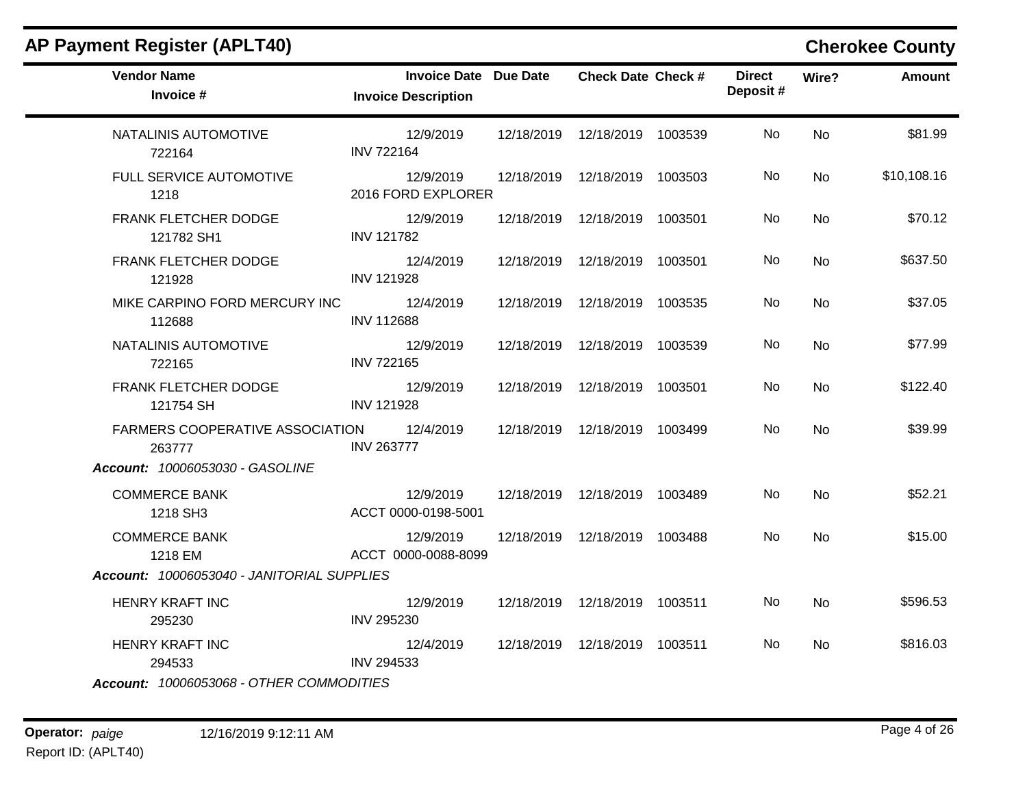| <b>Vendor Name</b><br>Invoice #                     | Invoice Date Due Date<br><b>Invoice Description</b> | <b>Check Date Check #</b>       | <b>Direct</b><br>Deposit# | Wire?     | <b>Amount</b> |
|-----------------------------------------------------|-----------------------------------------------------|---------------------------------|---------------------------|-----------|---------------|
| NATALINIS AUTOMOTIVE<br>722164                      | 12/9/2019<br><b>INV 722164</b>                      | 12/18/2019  12/18/2019  1003539 | No.                       | No        | \$81.99       |
| FULL SERVICE AUTOMOTIVE<br>1218                     | 12/9/2019<br>2016 FORD EXPLORER                     | 12/18/2019  12/18/2019  1003503 | No.                       | No        | \$10,108.16   |
| FRANK FLETCHER DODGE<br>121782 SH1                  | 12/9/2019<br><b>INV 121782</b>                      | 12/18/2019  12/18/2019  1003501 | No.                       | No        | \$70.12       |
| FRANK FLETCHER DODGE<br>121928                      | 12/4/2019<br><b>INV 121928</b>                      | 12/18/2019  12/18/2019  1003501 | No.                       | No        | \$637.50      |
| MIKE CARPINO FORD MERCURY INC 12/4/2019<br>112688   | <b>INV 112688</b>                                   | 12/18/2019  12/18/2019  1003535 | No                        | No        | \$37.05       |
| NATALINIS AUTOMOTIVE<br>722165                      | 12/9/2019<br><b>INV 722165</b>                      | 12/18/2019  12/18/2019  1003539 | No.                       | No        | \$77.99       |
| FRANK FLETCHER DODGE<br>121754 SH                   | 12/9/2019<br><b>INV 121928</b>                      | 12/18/2019  12/18/2019  1003501 | No.                       | <b>No</b> | \$122.40      |
| FARMERS COOPERATIVE ASSOCIATION 12/4/2019<br>263777 | <b>INV 263777</b>                                   | 12/18/2019  12/18/2019  1003499 | No.                       | No        | \$39.99       |
| Account: 10006053030 - GASOLINE                     |                                                     |                                 |                           |           |               |
| <b>COMMERCE BANK</b><br>1218 SH3                    | 12/9/2019<br>ACCT 0000-0198-5001                    | 12/18/2019  12/18/2019  1003489 | No.                       | <b>No</b> | \$52.21       |
| <b>COMMERCE BANK</b><br>1218 EM                     | 12/9/2019<br>ACCT 0000-0088-8099                    | 12/18/2019  12/18/2019  1003488 | No.                       | <b>No</b> | \$15.00       |
| Account: 10006053040 - JANITORIAL SUPPLIES          |                                                     |                                 |                           |           |               |
| HENRY KRAFT INC<br>295230                           | 12/9/2019<br>INV 295230                             | 12/18/2019  12/18/2019  1003511 | No.                       | No        | \$596.53      |
| <b>HENRY KRAFT INC</b><br>294533                    | 12/4/2019<br><b>INV 294533</b>                      | 12/18/2019  12/18/2019  1003511 | No.                       | No.       | \$816.03      |
| Account: 10006053068 - OTHER COMMODITIES            |                                                     |                                 |                           |           |               |

## **AP Payment Register (APLT40) Cherokee County**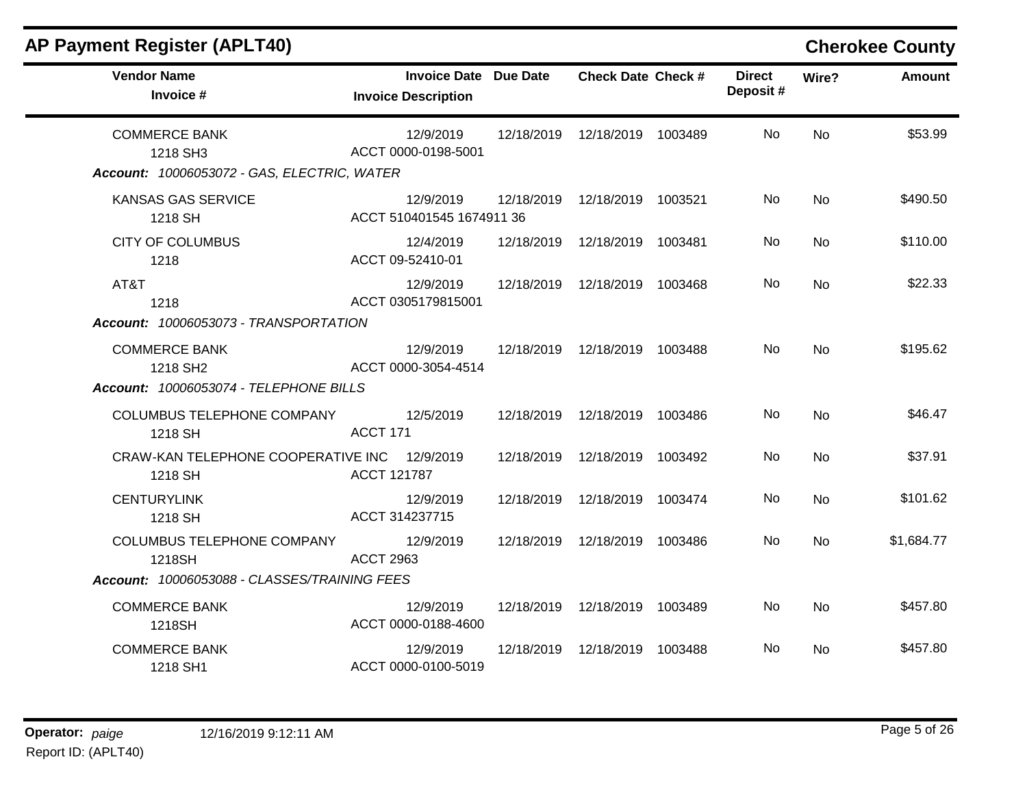| <b>AP Payment Register (APLT40)</b>                                             |                                                     |            |                           | <b>Cherokee County</b> |                           |           |               |
|---------------------------------------------------------------------------------|-----------------------------------------------------|------------|---------------------------|------------------------|---------------------------|-----------|---------------|
| <b>Vendor Name</b><br>Invoice #                                                 | Invoice Date Due Date<br><b>Invoice Description</b> |            | <b>Check Date Check #</b> |                        | <b>Direct</b><br>Deposit# | Wire?     | <b>Amount</b> |
| <b>COMMERCE BANK</b><br>1218 SH3<br>Account: 10006053072 - GAS, ELECTRIC, WATER | 12/9/2019<br>ACCT 0000-0198-5001                    | 12/18/2019 | 12/18/2019 1003489        |                        | No.                       | <b>No</b> | \$53.99       |
| <b>KANSAS GAS SERVICE</b><br>1218 SH                                            | 12/9/2019<br>ACCT 510401545 1674911 36              | 12/18/2019 | 12/18/2019 1003521        |                        | No.                       | <b>No</b> | \$490.50      |
| <b>CITY OF COLUMBUS</b><br>1218                                                 | 12/4/2019<br>ACCT 09-52410-01                       | 12/18/2019 | 12/18/2019                | 1003481                | No.                       | <b>No</b> | \$110.00      |
| AT&T<br>1218<br>Account: 10006053073 - TRANSPORTATION                           | 12/9/2019<br>ACCT 0305179815001                     | 12/18/2019 | 12/18/2019 1003468        |                        | No.                       | <b>No</b> | \$22.33       |
| <b>COMMERCE BANK</b><br>1218 SH2<br>Account: 10006053074 - TELEPHONE BILLS      | 12/9/2019<br>ACCT 0000-3054-4514                    | 12/18/2019 | 12/18/2019 1003488        |                        | <b>No</b>                 | <b>No</b> | \$195.62      |
| COLUMBUS TELEPHONE COMPANY<br>1218 SH                                           | 12/5/2019<br>ACCT 171                               | 12/18/2019 | 12/18/2019 1003486        |                        | <b>No</b>                 | <b>No</b> | \$46.47       |
| CRAW-KAN TELEPHONE COOPERATIVE INC<br>1218 SH                                   | 12/9/2019<br>ACCT 121787                            | 12/18/2019 | 12/18/2019 1003492        |                        | No                        | <b>No</b> | \$37.91       |
| <b>CENTURYLINK</b><br>1218 SH                                                   | 12/9/2019<br>ACCT 314237715                         | 12/18/2019 | 12/18/2019                | 1003474                | <b>No</b>                 | <b>No</b> | \$101.62      |
| COLUMBUS TELEPHONE COMPANY<br>1218SH                                            | 12/9/2019<br><b>ACCT 2963</b>                       | 12/18/2019 | 12/18/2019 1003486        |                        | No.                       | <b>No</b> | \$1,684.77    |
| Account: 10006053088 - CLASSES/TRAINING FEES                                    |                                                     |            |                           |                        |                           |           |               |
| <b>COMMERCE BANK</b><br>1218SH                                                  | 12/9/2019<br>ACCT 0000-0188-4600                    | 12/18/2019 | 12/18/2019 1003489        |                        | No                        | <b>No</b> | \$457.80      |
| <b>COMMERCE BANK</b><br>1218 SH1                                                | 12/9/2019<br>ACCT 0000-0100-5019                    | 12/18/2019 | 12/18/2019 1003488        |                        | No.                       | No.       | \$457.80      |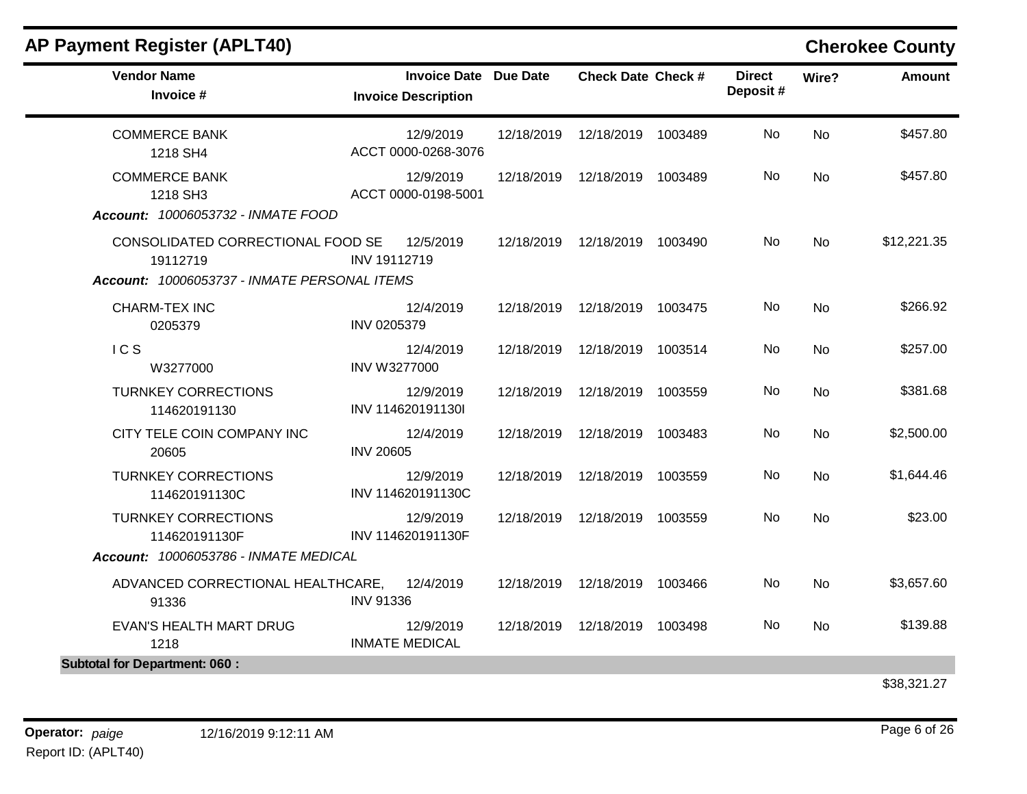| <b>AP Payment Register (APLT40)</b>                                                           |                     |                                                            |            |                                 |         |                           |           | <b>Cherokee County</b> |
|-----------------------------------------------------------------------------------------------|---------------------|------------------------------------------------------------|------------|---------------------------------|---------|---------------------------|-----------|------------------------|
| <b>Vendor Name</b><br>Invoice #                                                               |                     | <b>Invoice Date Due Date</b><br><b>Invoice Description</b> |            | <b>Check Date Check #</b>       |         | <b>Direct</b><br>Deposit# | Wire?     | <b>Amount</b>          |
| <b>COMMERCE BANK</b><br>1218 SH4                                                              |                     | 12/9/2019<br>ACCT 0000-0268-3076                           |            | 12/18/2019  12/18/2019          | 1003489 | No.                       | <b>No</b> | \$457.80               |
| <b>COMMERCE BANK</b><br>1218 SH3<br>Account: 10006053732 - INMATE FOOD                        |                     | 12/9/2019<br>ACCT 0000-0198-5001                           | 12/18/2019 | 12/18/2019 1003489              |         | No.                       | <b>No</b> | \$457.80               |
| CONSOLIDATED CORRECTIONAL FOOD SE<br>19112719<br>Account: 10006053737 - INMATE PERSONAL ITEMS | INV 19112719        | 12/5/2019                                                  |            | 12/18/2019  12/18/2019  1003490 |         | No.                       | <b>No</b> | \$12,221.35            |
| <b>CHARM-TEX INC</b><br>0205379                                                               | INV 0205379         | 12/4/2019                                                  | 12/18/2019 | 12/18/2019 1003475              |         | No.                       | <b>No</b> | \$266.92               |
| IC <sub>S</sub><br>W3277000                                                                   | <b>INV W3277000</b> | 12/4/2019                                                  | 12/18/2019 | 12/18/2019                      | 1003514 | No                        | <b>No</b> | \$257.00               |
| <b>TURNKEY CORRECTIONS</b><br>114620191130                                                    |                     | 12/9/2019<br>INV 114620191130I                             | 12/18/2019 | 12/18/2019                      | 1003559 | No                        | No        | \$381.68               |
| CITY TELE COIN COMPANY INC<br>20605                                                           | <b>INV 20605</b>    | 12/4/2019                                                  |            | 12/18/2019  12/18/2019  1003483 |         | No.                       | No        | \$2,500.00             |
| <b>TURNKEY CORRECTIONS</b><br>114620191130C                                                   |                     | 12/9/2019<br>INV 114620191130C                             | 12/18/2019 | 12/18/2019                      | 1003559 | No                        | No        | \$1,644.46             |
| <b>TURNKEY CORRECTIONS</b><br>114620191130F                                                   |                     | 12/9/2019<br>INV 114620191130F                             |            | 12/18/2019  12/18/2019  1003559 |         | No.                       | No        | \$23.00                |
| Account: 10006053786 - INMATE MEDICAL                                                         |                     |                                                            |            |                                 |         |                           |           |                        |
| ADVANCED CORRECTIONAL HEALTHCARE,<br>91336                                                    | <b>INV 91336</b>    | 12/4/2019                                                  | 12/18/2019 | 12/18/2019                      | 1003466 | No                        | <b>No</b> | \$3,657.60             |
| EVAN'S HEALTH MART DRUG<br>1218                                                               |                     | 12/9/2019<br><b>INMATE MEDICAL</b>                         |            | 12/18/2019  12/18/2019  1003498 |         | No                        | No.       | \$139.88               |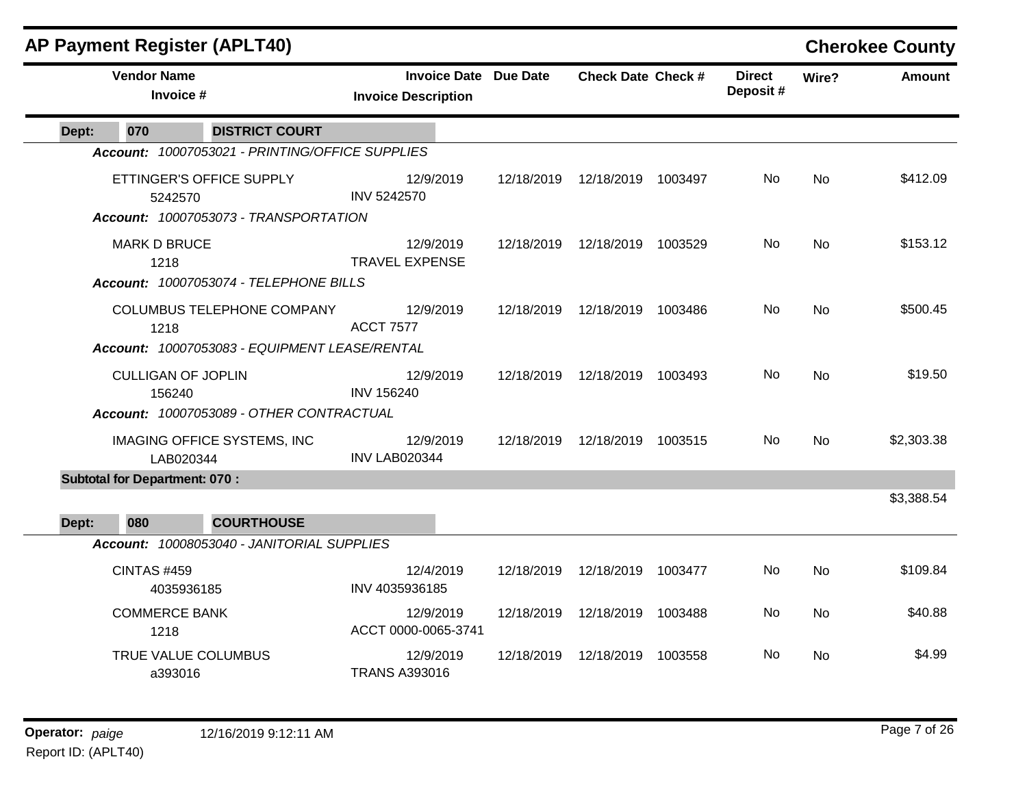|       |                                      | <b>AP Payment Register (APLT40)</b>                                                |                                    |                              |                                 |         |                           |           | <b>Cherokee County</b> |
|-------|--------------------------------------|------------------------------------------------------------------------------------|------------------------------------|------------------------------|---------------------------------|---------|---------------------------|-----------|------------------------|
|       | <b>Vendor Name</b><br>Invoice #      |                                                                                    | <b>Invoice Description</b>         | <b>Invoice Date Due Date</b> | <b>Check Date Check #</b>       |         | <b>Direct</b><br>Deposit# | Wire?     | <b>Amount</b>          |
| Dept: | 070                                  | <b>DISTRICT COURT</b>                                                              |                                    |                              |                                 |         |                           |           |                        |
|       |                                      | Account: 10007053021 - PRINTING/OFFICE SUPPLIES                                    |                                    |                              |                                 |         |                           |           |                        |
|       | 5242570                              | ETTINGER'S OFFICE SUPPLY<br>Account: 10007053073 - TRANSPORTATION                  | 12/9/2019<br><b>INV 5242570</b>    | 12/18/2019                   | 12/18/2019 1003497              |         | No.                       | <b>No</b> | \$412.09               |
|       | <b>MARK D BRUCE</b><br>1218          | Account: 10007053074 - TELEPHONE BILLS                                             | 12/9/2019<br><b>TRAVEL EXPENSE</b> |                              | 12/18/2019  12/18/2019  1003529 |         | No.                       | No        | \$153.12               |
|       | 1218                                 | <b>COLUMBUS TELEPHONE COMPANY</b><br>Account: 10007053083 - EQUIPMENT LEASE/RENTAL | 12/9/2019<br><b>ACCT 7577</b>      | 12/18/2019                   | 12/18/2019 1003486              |         | No.                       | <b>No</b> | \$500.45               |
|       | <b>CULLIGAN OF JOPLIN</b><br>156240  | Account: 10007053089 - OTHER CONTRACTUAL                                           | 12/9/2019<br><b>INV 156240</b>     | 12/18/2019                   | 12/18/2019 1003493              |         | No.                       | <b>No</b> | \$19.50                |
|       | LAB020344                            | <b>IMAGING OFFICE SYSTEMS, INC</b>                                                 | 12/9/2019<br><b>INV LAB020344</b>  | 12/18/2019                   | 12/18/2019 1003515              |         | No.                       | No        | \$2,303.38             |
|       | <b>Subtotal for Department: 070:</b> |                                                                                    |                                    |                              |                                 |         |                           |           |                        |
| Dept: | 080                                  | <b>COURTHOUSE</b>                                                                  |                                    |                              |                                 |         |                           |           | \$3,388.54             |
|       |                                      | Account: 10008053040 - JANITORIAL SUPPLIES                                         |                                    |                              |                                 |         |                           |           |                        |
|       | <b>CINTAS #459</b><br>4035936185     |                                                                                    | 12/4/2019<br>INV 4035936185        | 12/18/2019                   | 12/18/2019 1003477              |         | No.                       | No        | \$109.84               |
|       | <b>COMMERCE BANK</b><br>1218         |                                                                                    | 12/9/2019<br>ACCT 0000-0065-3741   | 12/18/2019                   | 12/18/2019 1003488              |         | No                        | No        | \$40.88                |
|       | TRUE VALUE COLUMBUS<br>a393016       |                                                                                    | 12/9/2019<br><b>TRANS A393016</b>  | 12/18/2019                   | 12/18/2019                      | 1003558 | No.                       | No        | \$4.99                 |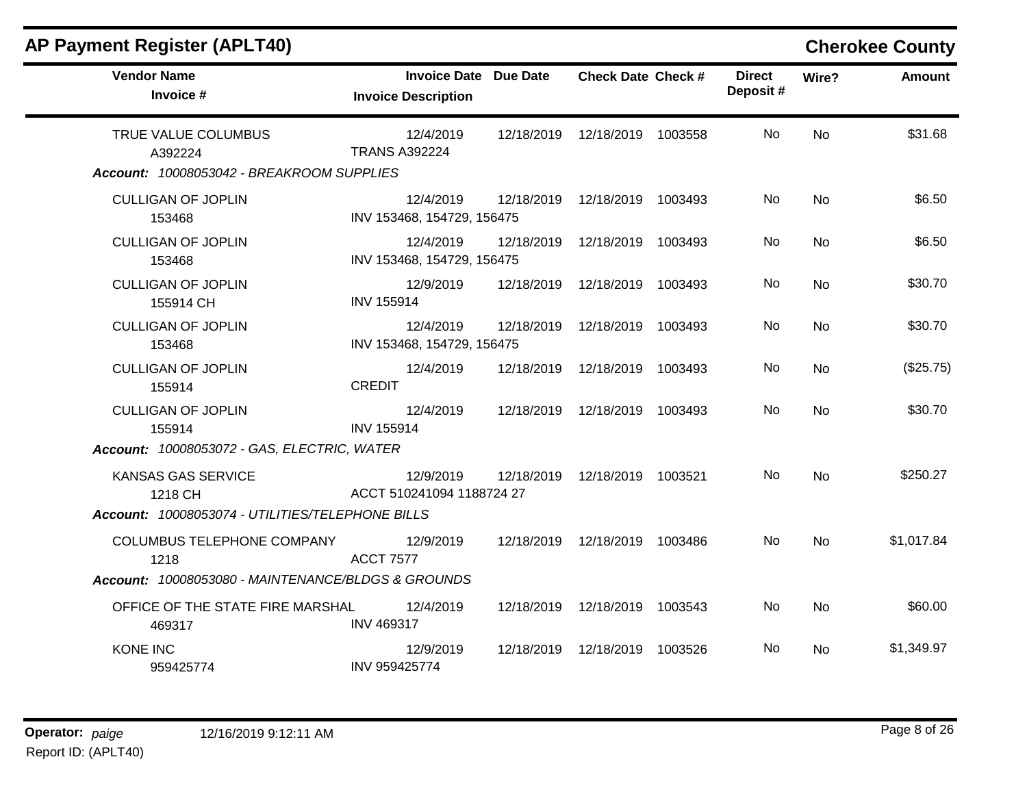| <b>AP Payment Register (APLT40)</b>                                         |                                                     |            |                                 |                           |                | <b>Cherokee County</b> |
|-----------------------------------------------------------------------------|-----------------------------------------------------|------------|---------------------------------|---------------------------|----------------|------------------------|
| <b>Vendor Name</b><br>Invoice #                                             | Invoice Date Due Date<br><b>Invoice Description</b> |            | <b>Check Date Check #</b>       | <b>Direct</b><br>Deposit# | Wire?          | Amount                 |
| TRUE VALUE COLUMBUS<br>A392224<br>Account: 10008053042 - BREAKROOM SUPPLIES | 12/4/2019<br><b>TRANS A392224</b>                   | 12/18/2019 | 12/18/2019 1003558              | <b>No</b>                 | <b>No</b>      | \$31.68                |
| <b>CULLIGAN OF JOPLIN</b><br>153468                                         | 12/4/2019<br>INV 153468, 154729, 156475             | 12/18/2019 | 12/18/2019 1003493              | No.                       | <b>No</b>      | \$6.50                 |
| <b>CULLIGAN OF JOPLIN</b><br>153468                                         | 12/4/2019<br>INV 153468, 154729, 156475             | 12/18/2019 | 12/18/2019 1003493              | No                        | <b>No</b>      | \$6.50                 |
| <b>CULLIGAN OF JOPLIN</b><br>155914 CH                                      | 12/9/2019<br><b>INV 155914</b>                      | 12/18/2019 | 12/18/2019 1003493              | No.                       | No             | \$30.70                |
| <b>CULLIGAN OF JOPLIN</b><br>153468                                         | 12/4/2019<br>INV 153468, 154729, 156475             | 12/18/2019 | 12/18/2019 1003493              | No                        | No             | \$30.70                |
| <b>CULLIGAN OF JOPLIN</b><br>155914                                         | 12/4/2019<br><b>CREDIT</b>                          | 12/18/2019 | 12/18/2019 1003493              | No.                       | <b>No</b>      | (\$25.75)              |
| <b>CULLIGAN OF JOPLIN</b><br>155914                                         | 12/4/2019<br><b>INV 155914</b>                      |            | 12/18/2019  12/18/2019  1003493 | No.                       | <b>No</b>      | \$30.70                |
| Account: 10008053072 - GAS, ELECTRIC, WATER                                 |                                                     |            |                                 |                           |                |                        |
| <b>KANSAS GAS SERVICE</b><br>1218 CH                                        | 12/9/2019<br>ACCT 510241094 1188724 27              | 12/18/2019 | 12/18/2019 1003521              | No.                       | <b>No</b>      | \$250.27               |
| Account: 10008053074 - UTILITIES/TELEPHONE BILLS                            |                                                     |            |                                 |                           |                |                        |
| <b>COLUMBUS TELEPHONE COMPANY</b><br>1218                                   | 12/9/2019<br><b>ACCT 7577</b>                       | 12/18/2019 | 12/18/2019 1003486              | No.                       | N <sub>o</sub> | \$1,017.84             |
| Account: 10008053080 - MAINTENANCE/BLDGS & GROUNDS                          |                                                     |            |                                 |                           |                |                        |
| OFFICE OF THE STATE FIRE MARSHAL<br>469317                                  | 12/4/2019<br><b>INV 469317</b>                      | 12/18/2019 | 12/18/2019 1003543              | No                        | <b>No</b>      | \$60.00                |
| <b>KONE INC</b><br>959425774                                                | 12/9/2019<br>INV 959425774                          | 12/18/2019 | 12/18/2019 1003526              | No.                       | No.            | \$1,349.97             |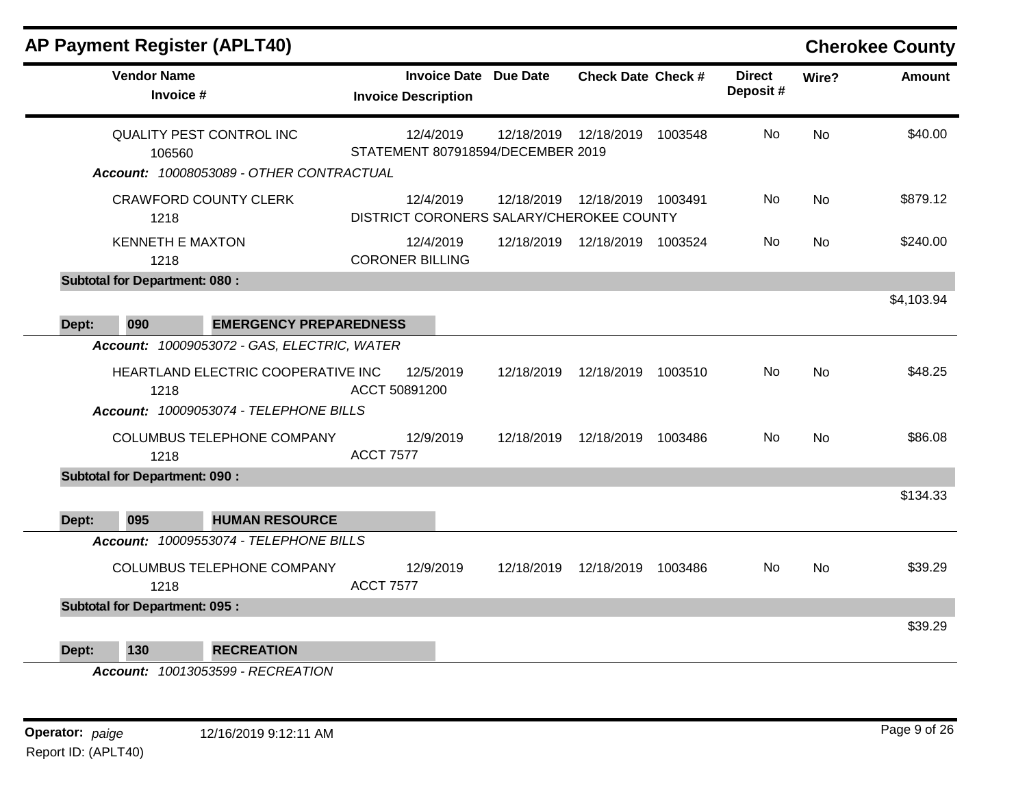|       |                                      | <b>AP Payment Register (APLT40)</b>                                                                                         |                                                            |            |                                 |         |                           |                | <b>Cherokee County</b> |
|-------|--------------------------------------|-----------------------------------------------------------------------------------------------------------------------------|------------------------------------------------------------|------------|---------------------------------|---------|---------------------------|----------------|------------------------|
|       | <b>Vendor Name</b><br>Invoice #      |                                                                                                                             | <b>Invoice Date Due Date</b><br><b>Invoice Description</b> |            | <b>Check Date Check #</b>       |         | <b>Direct</b><br>Deposit# | Wire?          | <b>Amount</b>          |
|       | 106560                               | <b>QUALITY PEST CONTROL INC</b>                                                                                             | 12/4/2019<br>STATEMENT 807918594/DECEMBER 2019             | 12/18/2019 | 12/18/2019                      | 1003548 | <b>No</b>                 | <b>No</b>      | \$40.00                |
|       |                                      | Account: 10008053089 - OTHER CONTRACTUAL                                                                                    |                                                            |            |                                 |         |                           |                |                        |
|       | 1218                                 | <b>CRAWFORD COUNTY CLERK</b>                                                                                                | 12/4/2019<br>DISTRICT CORONERS SALARY/CHEROKEE COUNTY      |            | 12/18/2019  12/18/2019  1003491 |         | No                        | <b>No</b>      | \$879.12               |
|       | <b>KENNETH E MAXTON</b><br>1218      |                                                                                                                             | 12/4/2019<br><b>CORONER BILLING</b>                        |            | 12/18/2019  12/18/2019  1003524 |         | No.                       | No.            | \$240.00               |
|       | <b>Subtotal for Department: 080:</b> |                                                                                                                             |                                                            |            |                                 |         |                           |                |                        |
|       |                                      |                                                                                                                             |                                                            |            |                                 |         |                           |                | \$4,103.94             |
| Dept: | 090                                  | <b>EMERGENCY PREPAREDNESS</b>                                                                                               |                                                            |            |                                 |         |                           |                |                        |
|       | 1218                                 | Account: 10009053072 - GAS, ELECTRIC, WATER<br>HEARTLAND ELECTRIC COOPERATIVE INC<br>Account: 10009053074 - TELEPHONE BILLS | 12/5/2019<br>ACCT 50891200                                 | 12/18/2019 | 12/18/2019 1003510              |         | No.                       | N <sub>o</sub> | \$48.25                |
|       | 1218                                 | COLUMBUS TELEPHONE COMPANY                                                                                                  | 12/9/2019<br><b>ACCT 7577</b>                              | 12/18/2019 | 12/18/2019 1003486              |         | No.                       | <b>No</b>      | \$86.08                |
|       | <b>Subtotal for Department: 090:</b> |                                                                                                                             |                                                            |            |                                 |         |                           |                |                        |
|       |                                      |                                                                                                                             |                                                            |            |                                 |         |                           |                | \$134.33               |
| Dept: | 095                                  | <b>HUMAN RESOURCE</b>                                                                                                       |                                                            |            |                                 |         |                           |                |                        |
|       |                                      | Account: 10009553074 - TELEPHONE BILLS                                                                                      |                                                            |            |                                 |         |                           |                |                        |
|       | 1218                                 | COLUMBUS TELEPHONE COMPANY                                                                                                  | 12/9/2019<br><b>ACCT 7577</b>                              | 12/18/2019 | 12/18/2019 1003486              |         | No.                       | No.            | \$39.29                |
|       | <b>Subtotal for Department: 095:</b> |                                                                                                                             |                                                            |            |                                 |         |                           |                |                        |
|       |                                      |                                                                                                                             |                                                            |            |                                 |         |                           |                | \$39.29                |
| Dept: | 130                                  | <b>RECREATION</b>                                                                                                           |                                                            |            |                                 |         |                           |                |                        |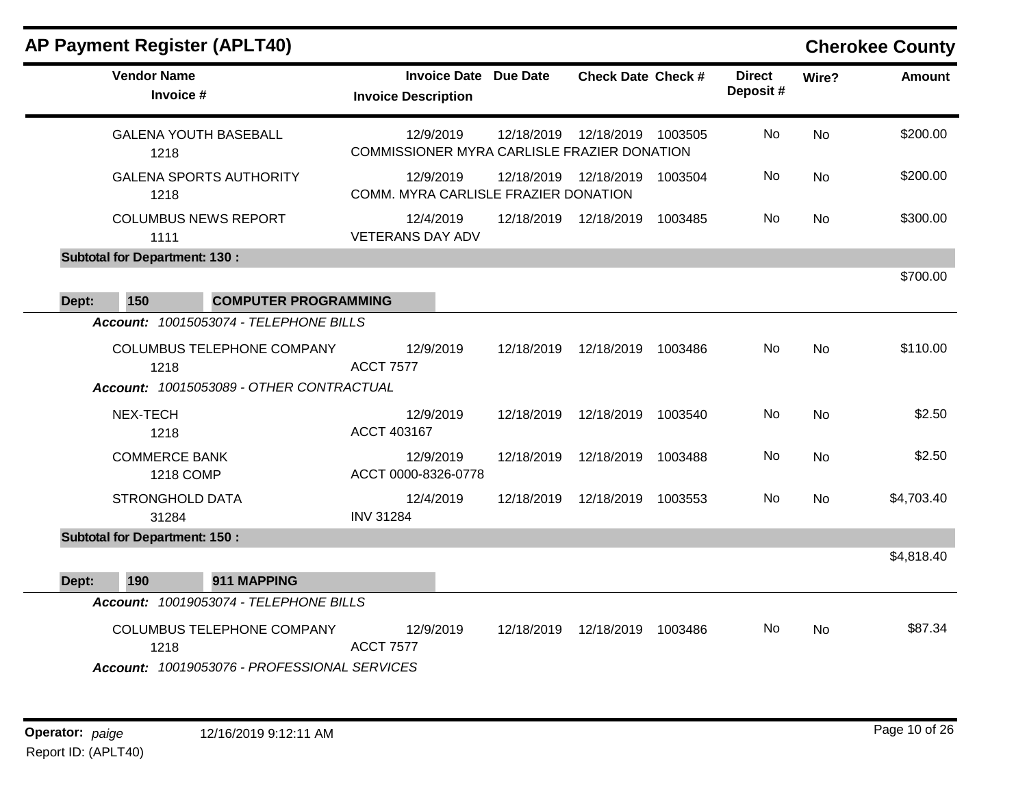# **AP Payment Register (APLT40) Cherokee County**

 $\blacksquare$ 

|       | <b>Vendor Name</b><br>Invoice #          |                                                                            | <b>Invoice Description</b>                  |           | <b>Invoice Date Due Date</b> | <b>Check Date Check #</b> |         | <b>Direct</b><br>Deposit# | Wire?     | <b>Amount</b> |
|-------|------------------------------------------|----------------------------------------------------------------------------|---------------------------------------------|-----------|------------------------------|---------------------------|---------|---------------------------|-----------|---------------|
|       | <b>GALENA YOUTH BASEBALL</b><br>1218     |                                                                            | COMMISSIONER MYRA CARLISLE FRAZIER DONATION | 12/9/2019 | 12/18/2019                   | 12/18/2019                | 1003505 | <b>No</b>                 | <b>No</b> | \$200.00      |
|       | 1218                                     | <b>GALENA SPORTS AUTHORITY</b>                                             | COMM. MYRA CARLISLE FRAZIER DONATION        | 12/9/2019 | 12/18/2019                   | 12/18/2019                | 1003504 | No.                       | <b>No</b> | \$200.00      |
|       | <b>COLUMBUS NEWS REPORT</b><br>1111      |                                                                            | <b>VETERANS DAY ADV</b>                     | 12/4/2019 |                              | 12/18/2019  12/18/2019    | 1003485 | No                        | <b>No</b> | \$300.00      |
|       | <b>Subtotal for Department: 130:</b>     |                                                                            |                                             |           |                              |                           |         |                           |           |               |
| Dept: | 150                                      | <b>COMPUTER PROGRAMMING</b>                                                |                                             |           |                              |                           |         |                           |           | \$700.00      |
|       |                                          | Account: 10015053074 - TELEPHONE BILLS                                     |                                             |           |                              |                           |         |                           |           |               |
|       | 1218                                     | COLUMBUS TELEPHONE COMPANY<br>Account: 10015053089 - OTHER CONTRACTUAL     | <b>ACCT 7577</b>                            | 12/9/2019 | 12/18/2019                   | 12/18/2019                | 1003486 | No                        | <b>No</b> | \$110.00      |
|       | NEX-TECH<br>1218                         |                                                                            | ACCT 403167                                 | 12/9/2019 | 12/18/2019                   | 12/18/2019                | 1003540 | No                        | No        | \$2.50        |
|       | <b>COMMERCE BANK</b><br><b>1218 COMP</b> |                                                                            | ACCT 0000-8326-0778                         | 12/9/2019 | 12/18/2019                   | 12/18/2019                | 1003488 | No.                       | <b>No</b> | \$2.50        |
|       | <b>STRONGHOLD DATA</b><br>31284          |                                                                            | <b>INV 31284</b>                            | 12/4/2019 | 12/18/2019                   | 12/18/2019                | 1003553 | No.                       | <b>No</b> | \$4,703.40    |
|       | <b>Subtotal for Department: 150:</b>     |                                                                            |                                             |           |                              |                           |         |                           |           |               |
| Dept: | 190                                      | 911 MAPPING                                                                |                                             |           |                              |                           |         |                           |           | \$4,818.40    |
|       |                                          | Account: 10019053074 - TELEPHONE BILLS                                     |                                             |           |                              |                           |         |                           |           |               |
|       | 1218                                     | COLUMBUS TELEPHONE COMPANY<br>Account: 10019053076 - PROFESSIONAL SERVICES | <b>ACCT 7577</b>                            | 12/9/2019 | 12/18/2019                   | 12/18/2019 1003486        |         | No                        | <b>No</b> | \$87.34       |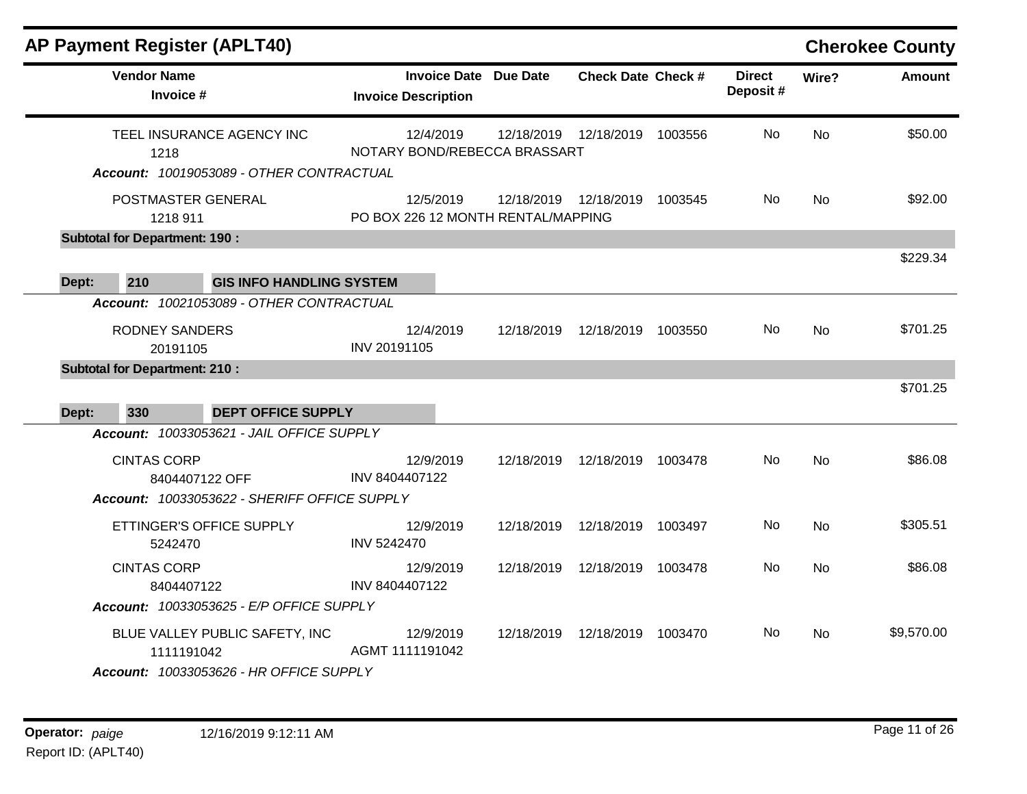| <b>AP Payment Register (APLT40)</b>                |                                                            |            |                           |         |                           |           | <b>Cherokee County</b> |
|----------------------------------------------------|------------------------------------------------------------|------------|---------------------------|---------|---------------------------|-----------|------------------------|
| <b>Vendor Name</b><br>Invoice #                    | <b>Invoice Date Due Date</b><br><b>Invoice Description</b> |            | <b>Check Date Check #</b> |         | <b>Direct</b><br>Deposit# | Wire?     | <b>Amount</b>          |
| TEEL INSURANCE AGENCY INC<br>1218                  | 12/4/2019<br>NOTARY BOND/REBECCA BRASSART                  | 12/18/2019 | 12/18/2019                | 1003556 | <b>No</b>                 | <b>No</b> | \$50.00                |
| Account: 10019053089 - OTHER CONTRACTUAL           |                                                            |            |                           |         |                           |           |                        |
| POSTMASTER GENERAL<br>1218 911                     | 12/5/2019<br>PO BOX 226 12 MONTH RENTAL/MAPPING            |            | 12/18/2019  12/18/2019    | 1003545 | No.                       | <b>No</b> | \$92.00                |
| <b>Subtotal for Department: 190:</b>               |                                                            |            |                           |         |                           |           |                        |
|                                                    |                                                            |            |                           |         |                           |           | \$229.34               |
| 210<br><b>GIS INFO HANDLING SYSTEM</b><br>Dept:    |                                                            |            |                           |         |                           |           |                        |
| Account: 10021053089 - OTHER CONTRACTUAL           |                                                            |            |                           |         |                           |           |                        |
| <b>RODNEY SANDERS</b>                              | 12/4/2019                                                  | 12/18/2019 | 12/18/2019 1003550        |         | No.                       | No.       | \$701.25               |
| 20191105                                           | INV 20191105                                               |            |                           |         |                           |           |                        |
| <b>Subtotal for Department: 210:</b>               |                                                            |            |                           |         |                           |           | \$701.25               |
| 330<br><b>DEPT OFFICE SUPPLY</b>                   |                                                            |            |                           |         |                           |           |                        |
| Dept:<br>Account: 10033053621 - JAIL OFFICE SUPPLY |                                                            |            |                           |         |                           |           |                        |
| <b>CINTAS CORP</b>                                 | 12/9/2019                                                  | 12/18/2019 | 12/18/2019 1003478        |         | No.                       | <b>No</b> | \$86.08                |
| 8404407122 OFF                                     | INV 8404407122                                             |            |                           |         |                           |           |                        |
| Account: 10033053622 - SHERIFF OFFICE SUPPLY       |                                                            |            |                           |         |                           |           |                        |
| ETTINGER'S OFFICE SUPPLY<br>5242470                | 12/9/2019<br><b>INV 5242470</b>                            | 12/18/2019 | 12/18/2019                | 1003497 | <b>No</b>                 | <b>No</b> | \$305.51               |
| <b>CINTAS CORP</b>                                 | 12/9/2019                                                  | 12/18/2019 | 12/18/2019 1003478        |         | No.                       | No.       | \$86.08                |
| 8404407122                                         | INV 8404407122                                             |            |                           |         |                           |           |                        |
| Account: 10033053625 - E/P OFFICE SUPPLY           |                                                            |            |                           |         |                           |           |                        |
| BLUE VALLEY PUBLIC SAFETY, INC<br>1111191042       | 12/9/2019<br>AGMT 1111191042                               | 12/18/2019 | 12/18/2019 1003470        |         | No.                       | <b>No</b> | \$9,570.00             |
| Account: 10033053626 - HR OFFICE SUPPLY            |                                                            |            |                           |         |                           |           |                        |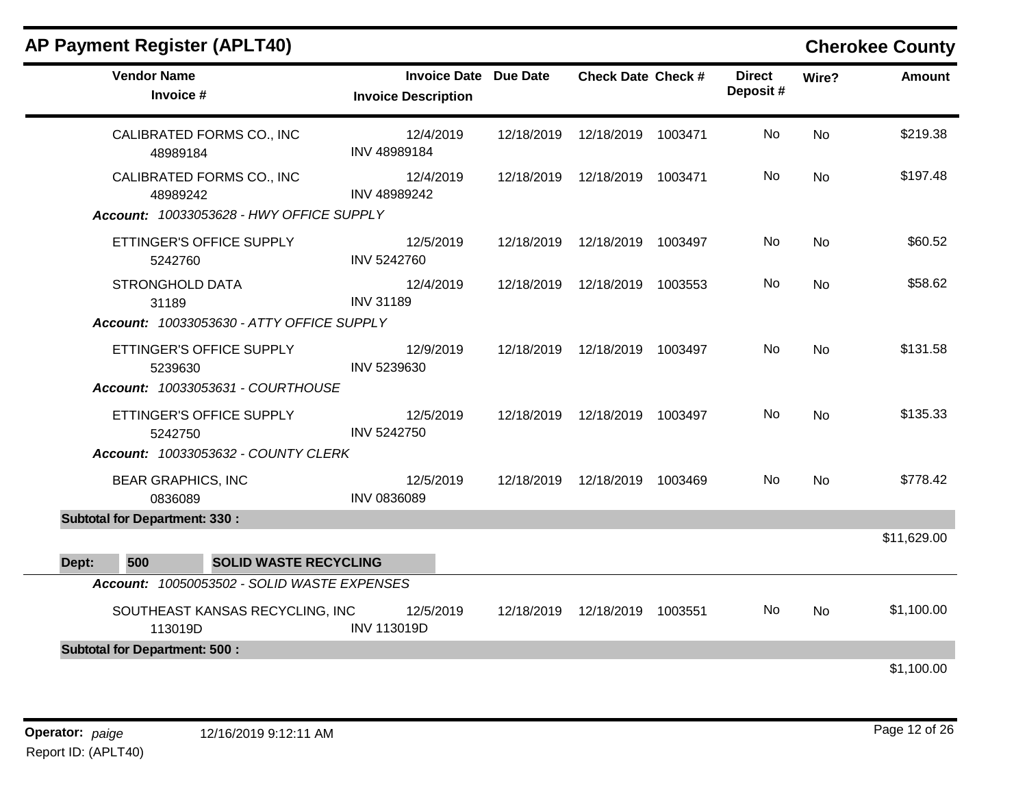| <b>AP Payment Register (APLT40)</b>  |                                             |                                                            |                                 |                           |           | <b>Cherokee County</b> |
|--------------------------------------|---------------------------------------------|------------------------------------------------------------|---------------------------------|---------------------------|-----------|------------------------|
| <b>Vendor Name</b><br>Invoice #      |                                             | <b>Invoice Date Due Date</b><br><b>Invoice Description</b> | <b>Check Date Check #</b>       | <b>Direct</b><br>Deposit# | Wire?     | Amount                 |
| 48989184                             | CALIBRATED FORMS CO., INC                   | 12/4/2019<br>INV 48989184                                  | 12/18/2019  12/18/2019  1003471 | No.                       | <b>No</b> | \$219.38               |
| 48989242                             | CALIBRATED FORMS CO., INC                   | 12/4/2019<br>INV 48989242                                  | 12/18/2019  12/18/2019  1003471 | No.                       | <b>No</b> | \$197.48               |
|                                      | Account: 10033053628 - HWY OFFICE SUPPLY    |                                                            |                                 |                           |           |                        |
| 5242760                              | ETTINGER'S OFFICE SUPPLY                    | 12/5/2019<br>INV 5242760                                   | 12/18/2019  12/18/2019  1003497 | No.                       | <b>No</b> | \$60.52                |
| STRONGHOLD DATA<br>31189             |                                             | 12/4/2019<br><b>INV 31189</b>                              | 12/18/2019  12/18/2019  1003553 | No.                       | <b>No</b> | \$58.62                |
|                                      | Account: 10033053630 - ATTY OFFICE SUPPLY   |                                                            |                                 |                           |           |                        |
| 5239630                              | ETTINGER'S OFFICE SUPPLY                    | 12/9/2019<br>INV 5239630                                   | 12/18/2019  12/18/2019  1003497 | No.                       | <b>No</b> | \$131.58               |
|                                      | Account: 10033053631 - COURTHOUSE           |                                                            |                                 |                           |           |                        |
| 5242750                              | ETTINGER'S OFFICE SUPPLY                    | 12/5/2019<br>INV 5242750                                   | 12/18/2019  12/18/2019  1003497 | No.                       | <b>No</b> | \$135.33               |
|                                      | Account: 10033053632 - COUNTY CLERK         |                                                            |                                 |                           |           |                        |
| <b>BEAR GRAPHICS, INC</b><br>0836089 |                                             | 12/5/2019<br><b>INV 0836089</b>                            | 12/18/2019  12/18/2019  1003469 | No.                       | <b>No</b> | \$778.42               |
| <b>Subtotal for Department: 330:</b> |                                             |                                                            |                                 |                           |           |                        |
|                                      |                                             |                                                            |                                 |                           |           | \$11,629.00            |
| 500<br>Dept:                         | <b>SOLID WASTE RECYCLING</b>                |                                                            |                                 |                           |           |                        |
|                                      | Account: 10050053502 - SOLID WASTE EXPENSES |                                                            |                                 |                           |           |                        |
| 113019D                              | SOUTHEAST KANSAS RECYCLING, INC             | 12/5/2019<br><b>INV 113019D</b>                            | 12/18/2019  12/18/2019  1003551 | No.                       | <b>No</b> | \$1,100.00             |
| <b>Subtotal for Department: 500:</b> |                                             |                                                            |                                 |                           |           |                        |
|                                      |                                             |                                                            |                                 |                           |           | \$1,100.00             |
|                                      |                                             |                                                            |                                 |                           |           |                        |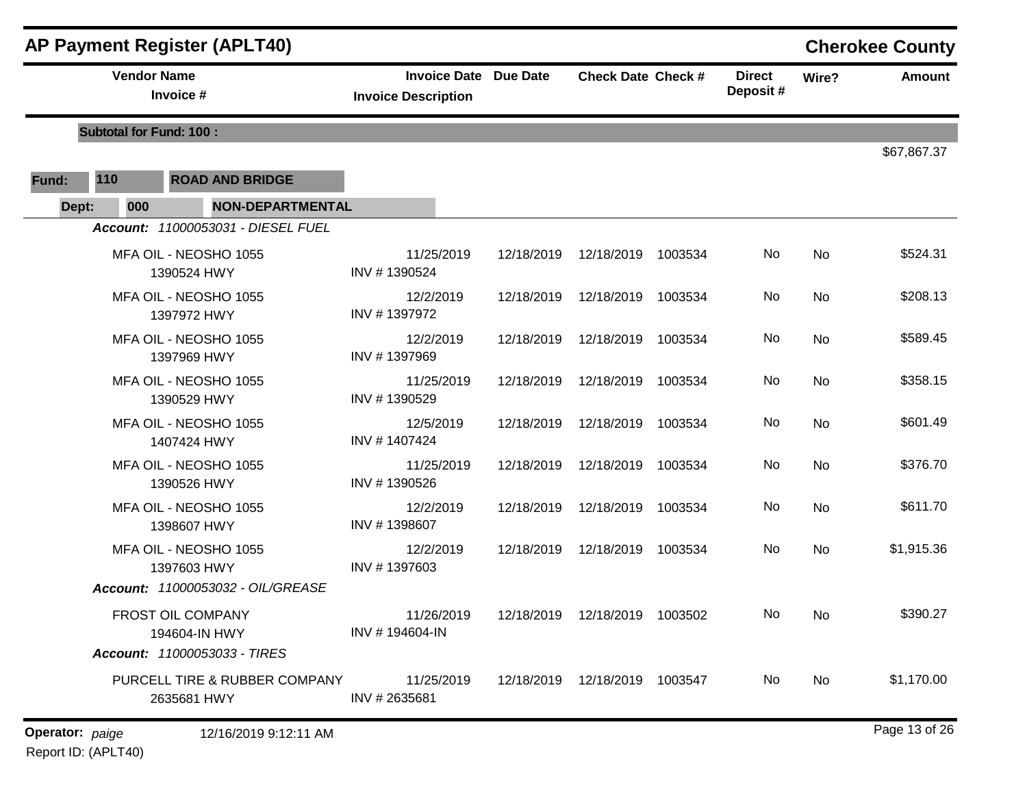|       |                                | <b>AP Payment Register (APLT40)</b>          |                                                               |            |                                 |         |                           |           | <b>Cherokee County</b> |
|-------|--------------------------------|----------------------------------------------|---------------------------------------------------------------|------------|---------------------------------|---------|---------------------------|-----------|------------------------|
|       | <b>Vendor Name</b>             | Invoice #                                    | <b>Invoice Date Due Date</b><br><b>Invoice Description</b>    |            | <b>Check Date Check #</b>       |         | <b>Direct</b><br>Deposit# | Wire?     | <b>Amount</b>          |
|       | <b>Subtotal for Fund: 100:</b> |                                              |                                                               |            |                                 |         |                           |           |                        |
| Fund: | 110                            | <b>ROAD AND BRIDGE</b>                       |                                                               |            |                                 |         |                           |           | \$67,867.37            |
| Dept: | 000                            | <b>NON-DEPARTMENTAL</b>                      |                                                               |            |                                 |         |                           |           |                        |
|       |                                | Account: 11000053031 - DIESEL FUEL           |                                                               |            |                                 |         |                           |           |                        |
|       |                                | MFA OIL - NEOSHO 1055<br>1390524 HWY         | 11/25/2019<br>INV #1390524                                    | 12/18/2019 | 12/18/2019                      | 1003534 | No                        | No        | \$524.31               |
|       |                                | MFA OIL - NEOSHO 1055<br>1397972 HWY         | 12/2/2019<br>INV #1397972                                     | 12/18/2019 | 12/18/2019                      | 1003534 | No                        | No        | \$208.13               |
|       |                                | MFA OIL - NEOSHO 1055<br>1397969 HWY         | 12/2/2019<br>INV #1397969                                     |            | 12/18/2019  12/18/2019          | 1003534 | No                        | No        | \$589.45               |
|       |                                | MFA OIL - NEOSHO 1055<br>1390529 HWY         | 11/25/2019<br>INV #1390529                                    | 12/18/2019 | 12/18/2019                      | 1003534 | No                        | No        | \$358.15               |
|       |                                | MFA OIL - NEOSHO 1055<br>1407424 HWY         | 12/5/2019<br>INV #1407424                                     | 12/18/2019 | 12/18/2019                      | 1003534 | No                        | No        | \$601.49               |
|       |                                | MFA OIL - NEOSHO 1055<br>1390526 HWY         | 11/25/2019<br>INV #1390526                                    | 12/18/2019 | 12/18/2019                      | 1003534 | No                        | No        | \$376.70               |
|       |                                | MFA OIL - NEOSHO 1055<br>1398607 HWY         | 12/2/2019<br>INV #1398607                                     | 12/18/2019 | 12/18/2019                      | 1003534 | No                        | No        | \$611.70               |
|       |                                | MFA OIL - NEOSHO 1055<br>1397603 HWY         | 12/2/2019<br>INV #1397603                                     | 12/18/2019 | 12/18/2019                      | 1003534 | No                        | No        | \$1,915.36             |
|       |                                | Account: 11000053032 - OIL/GREASE            |                                                               |            |                                 |         |                           |           |                        |
|       |                                | FROST OIL COMPANY<br>194604-IN HWY           | 11/26/2019  12/18/2019  12/18/2019  1003502<br>INV #194604-IN |            |                                 |         | No                        | <b>No</b> | \$390.27               |
|       |                                | Account: 11000053033 - TIRES                 |                                                               |            |                                 |         |                           |           |                        |
|       |                                | PURCELL TIRE & RUBBER COMPANY<br>2635681 HWY | 11/25/2019<br>INV #2635681                                    |            | 12/18/2019  12/18/2019  1003547 |         | No.                       | No        | \$1,170.00             |
|       |                                |                                              |                                                               |            |                                 |         |                           |           |                        |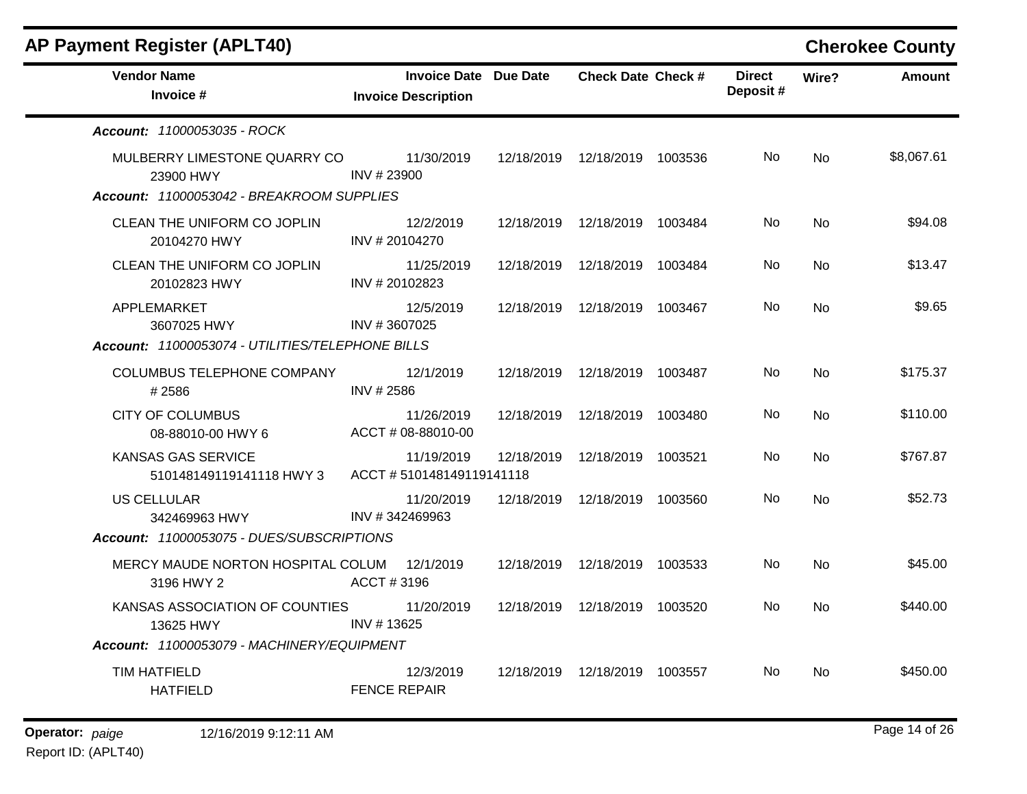| <b>AP Payment Register (APLT40)</b>                   |                                                     |            |                                 |                           |                | <b>Cherokee County</b> |
|-------------------------------------------------------|-----------------------------------------------------|------------|---------------------------------|---------------------------|----------------|------------------------|
| <b>Vendor Name</b><br>Invoice #                       | Invoice Date Due Date<br><b>Invoice Description</b> |            | <b>Check Date Check #</b>       | <b>Direct</b><br>Deposit# | Wire?          | <b>Amount</b>          |
| <b>Account: 11000053035 - ROCK</b>                    |                                                     |            |                                 |                           |                |                        |
| MULBERRY LIMESTONE QUARRY CO<br>23900 HWY             | 11/30/2019<br>INV #23900                            |            | 12/18/2019  12/18/2019  1003536 | No.                       | No             | \$8,067.61             |
| Account: 11000053042 - BREAKROOM SUPPLIES             |                                                     |            |                                 |                           |                |                        |
| CLEAN THE UNIFORM CO JOPLIN<br>20104270 HWY           | 12/2/2019<br>INV #20104270                          |            | 12/18/2019  12/18/2019  1003484 | No.                       | <b>No</b>      | \$94.08                |
| CLEAN THE UNIFORM CO JOPLIN<br>20102823 HWY           | 11/25/2019<br>INV #20102823                         |            | 12/18/2019  12/18/2019  1003484 | No.                       | <b>No</b>      | \$13.47                |
| APPLEMARKET<br>3607025 HWY                            | 12/5/2019<br>INV #3607025                           |            | 12/18/2019  12/18/2019  1003467 | No.                       | No             | \$9.65                 |
| Account: 11000053074 - UTILITIES/TELEPHONE BILLS      |                                                     |            |                                 |                           |                |                        |
| COLUMBUS TELEPHONE COMPANY<br>#2586                   | 12/1/2019<br>INV # 2586                             |            | 12/18/2019  12/18/2019  1003487 | No.                       | <b>No</b>      | \$175.37               |
| <b>CITY OF COLUMBUS</b><br>08-88010-00 HWY 6          | 11/26/2019<br>ACCT # 08-88010-00                    |            | 12/18/2019  12/18/2019  1003480 | No.                       | No             | \$110.00               |
| <b>KANSAS GAS SERVICE</b><br>510148149119141118 HWY 3 | 11/19/2019<br>ACCT #510148149119141118              | 12/18/2019 | 12/18/2019 1003521              | No.                       | <b>No</b>      | \$767.87               |
| <b>US CELLULAR</b><br>342469963 HWY                   | 11/20/2019<br>INV #342469963                        |            | 12/18/2019  12/18/2019  1003560 | No.                       | N <sub>o</sub> | \$52.73                |
| Account: 11000053075 - DUES/SUBSCRIPTIONS             |                                                     |            |                                 |                           |                |                        |
| MERCY MAUDE NORTON HOSPITAL COLUM<br>3196 HWY 2       | 12/1/2019<br>ACCT#3196                              | 12/18/2019 | 12/18/2019 1003533              | No.                       | <b>No</b>      | \$45.00                |
| KANSAS ASSOCIATION OF COUNTIES<br>13625 HWY           | 11/20/2019<br>INV #13625                            |            | 12/18/2019  12/18/2019  1003520 | No.                       | <b>No</b>      | \$440.00               |
| Account: 11000053079 - MACHINERY/EQUIPMENT            |                                                     |            |                                 |                           |                |                        |
| <b>TIM HATFIELD</b><br><b>HATFIELD</b>                | 12/3/2019<br><b>FENCE REPAIR</b>                    |            | 12/18/2019  12/18/2019  1003557 | No.                       | No             | \$450.00               |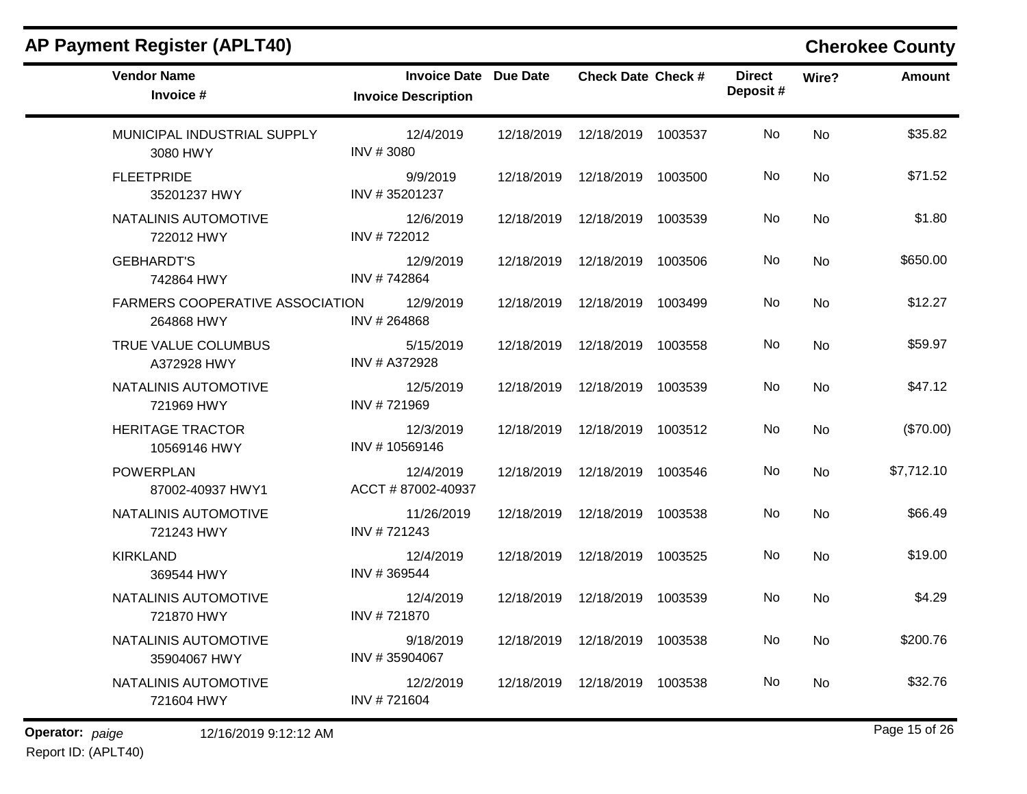| <b>AP Payment Register (APLT40)</b>                  | <b>Cherokee County</b>                                     |            |                                 |  |                           |           |               |  |
|------------------------------------------------------|------------------------------------------------------------|------------|---------------------------------|--|---------------------------|-----------|---------------|--|
| <b>Vendor Name</b><br>Invoice #                      | <b>Invoice Date Due Date</b><br><b>Invoice Description</b> |            | <b>Check Date Check #</b>       |  | <b>Direct</b><br>Deposit# | Wire?     | <b>Amount</b> |  |
| MUNICIPAL INDUSTRIAL SUPPLY<br>3080 HWY              | 12/4/2019<br>INV #3080                                     | 12/18/2019 | 12/18/2019 1003537              |  | No                        | <b>No</b> | \$35.82       |  |
| <b>FLEETPRIDE</b><br>35201237 HWY                    | 9/9/2019<br>INV #35201237                                  | 12/18/2019 | 12/18/2019 1003500              |  | No                        | No        | \$71.52       |  |
| NATALINIS AUTOMOTIVE<br>722012 HWY                   | 12/6/2019<br>INV #722012                                   | 12/18/2019 | 12/18/2019 1003539              |  | No                        | No        | \$1.80        |  |
| <b>GEBHARDT'S</b><br>742864 HWY                      | 12/9/2019<br>INV #742864                                   | 12/18/2019 | 12/18/2019 1003506              |  | No                        | No        | \$650.00      |  |
| <b>FARMERS COOPERATIVE ASSOCIATION</b><br>264868 HWY | 12/9/2019<br>INV #264868                                   | 12/18/2019 | 12/18/2019 1003499              |  | No                        | <b>No</b> | \$12.27       |  |
| TRUE VALUE COLUMBUS<br>A372928 HWY                   | 5/15/2019<br>INV # A372928                                 | 12/18/2019 | 12/18/2019 1003558              |  | No                        | No        | \$59.97       |  |
| NATALINIS AUTOMOTIVE<br>721969 HWY                   | 12/5/2019<br>INV #721969                                   | 12/18/2019 | 12/18/2019 1003539              |  | No                        | No        | \$47.12       |  |
| <b>HERITAGE TRACTOR</b><br>10569146 HWY              | 12/3/2019<br>INV #10569146                                 | 12/18/2019 | 12/18/2019 1003512              |  | No                        | <b>No</b> | (\$70.00)     |  |
| <b>POWERPLAN</b><br>87002-40937 HWY1                 | 12/4/2019<br>ACCT #87002-40937                             | 12/18/2019 | 12/18/2019 1003546              |  | No                        | <b>No</b> | \$7,712.10    |  |
| NATALINIS AUTOMOTIVE<br>721243 HWY                   | 11/26/2019<br>INV #721243                                  | 12/18/2019 | 12/18/2019 1003538              |  | No                        | No        | \$66.49       |  |
| <b>KIRKLAND</b><br>369544 HWY                        | 12/4/2019<br>INV #369544                                   | 12/18/2019 | 12/18/2019 1003525              |  | No                        | No        | \$19.00       |  |
| NATALINIS AUTOMOTIVE<br>721870 HWY                   | 12/4/2019<br>INV #721870                                   | 12/18/2019 | 12/18/2019 1003539              |  | No                        | No        | \$4.29        |  |
| NATALINIS AUTOMOTIVE<br>35904067 HWY                 | 9/18/2019<br>INV #35904067                                 |            | 12/18/2019  12/18/2019  1003538 |  | No                        | No        | \$200.76      |  |
| NATALINIS AUTOMOTIVE<br>721604 HWY                   | 12/2/2019<br>INV #721604                                   |            | 12/18/2019  12/18/2019  1003538 |  | No                        | No        | \$32.76       |  |

Report ID: (APLT40)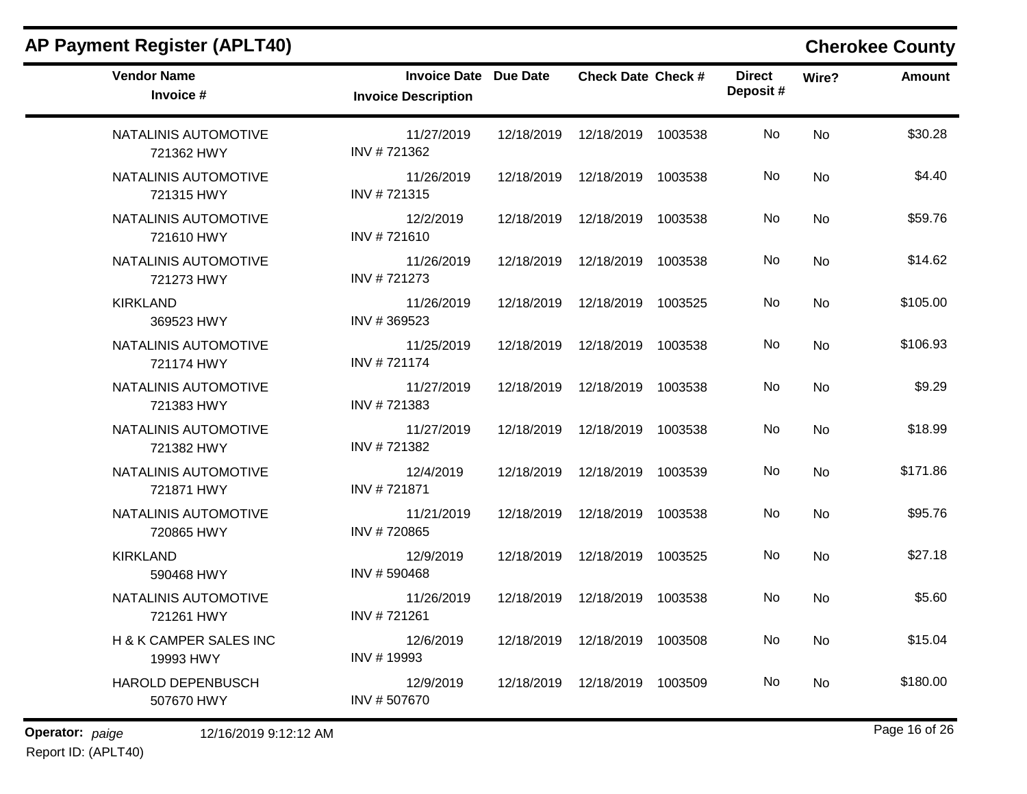| <b>AP Payment Register (APLT40)</b>    |                                                            |            |                                 |         |                           |           | <b>Cherokee County</b> |
|----------------------------------------|------------------------------------------------------------|------------|---------------------------------|---------|---------------------------|-----------|------------------------|
| <b>Vendor Name</b><br>Invoice #        | <b>Invoice Date Due Date</b><br><b>Invoice Description</b> |            | <b>Check Date Check #</b>       |         | <b>Direct</b><br>Deposit# | Wire?     | <b>Amount</b>          |
| NATALINIS AUTOMOTIVE<br>721362 HWY     | 11/27/2019<br>INV #721362                                  | 12/18/2019 | 12/18/2019                      | 1003538 | No                        | <b>No</b> | \$30.28                |
| NATALINIS AUTOMOTIVE<br>721315 HWY     | 11/26/2019<br>INV #721315                                  | 12/18/2019 | 12/18/2019                      | 1003538 | No                        | No        | \$4.40                 |
| NATALINIS AUTOMOTIVE<br>721610 HWY     | 12/2/2019<br>INV #721610                                   | 12/18/2019 | 12/18/2019                      | 1003538 | No                        | No        | \$59.76                |
| NATALINIS AUTOMOTIVE<br>721273 HWY     | 11/26/2019<br>INV #721273                                  | 12/18/2019 | 12/18/2019                      | 1003538 | No                        | <b>No</b> | \$14.62                |
| <b>KIRKLAND</b><br>369523 HWY          | 11/26/2019<br>INV #369523                                  | 12/18/2019 | 12/18/2019                      | 1003525 | No                        | No        | \$105.00               |
| NATALINIS AUTOMOTIVE<br>721174 HWY     | 11/25/2019<br>INV #721174                                  | 12/18/2019 | 12/18/2019                      | 1003538 | No                        | <b>No</b> | \$106.93               |
| NATALINIS AUTOMOTIVE<br>721383 HWY     | 11/27/2019<br>INV #721383                                  | 12/18/2019 | 12/18/2019                      | 1003538 | No                        | <b>No</b> | \$9.29                 |
| NATALINIS AUTOMOTIVE<br>721382 HWY     | 11/27/2019<br>INV #721382                                  | 12/18/2019 | 12/18/2019                      | 1003538 | No                        | <b>No</b> | \$18.99                |
| NATALINIS AUTOMOTIVE<br>721871 HWY     | 12/4/2019<br>INV #721871                                   | 12/18/2019 | 12/18/2019                      | 1003539 | No                        | No        | \$171.86               |
| NATALINIS AUTOMOTIVE<br>720865 HWY     | 11/21/2019<br>INV #720865                                  | 12/18/2019 | 12/18/2019                      | 1003538 | No                        | No        | \$95.76                |
| <b>KIRKLAND</b><br>590468 HWY          | 12/9/2019<br>INV #590468                                   | 12/18/2019 | 12/18/2019                      | 1003525 | No                        | <b>No</b> | \$27.18                |
| NATALINIS AUTOMOTIVE<br>721261 HWY     | 11/26/2019<br>INV #721261                                  | 12/18/2019 | 12/18/2019                      | 1003538 | No                        | No.       | \$5.60                 |
| H & K CAMPER SALES INC<br>19993 HWY    | 12/6/2019<br>INV #19993                                    |            | 12/18/2019  12/18/2019  1003508 |         | No                        | No        | \$15.04                |
| <b>HAROLD DEPENBUSCH</b><br>507670 HWY | 12/9/2019<br>INV #507670                                   |            | 12/18/2019  12/18/2019          | 1003509 | No                        | No        | \$180.00               |

Report ID: (APLT40)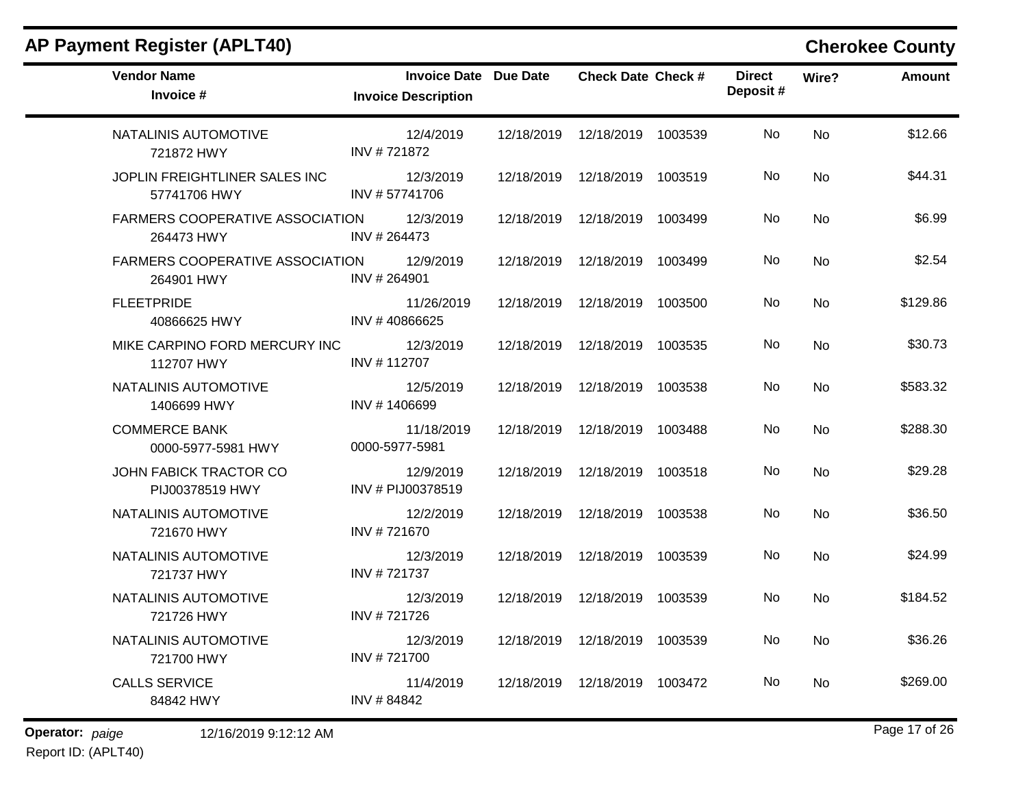| <b>AP Payment Register (APLT40)</b>                  |                                                            | <b>Cherokee County</b> |                                 |         |                           |           |               |
|------------------------------------------------------|------------------------------------------------------------|------------------------|---------------------------------|---------|---------------------------|-----------|---------------|
| <b>Vendor Name</b><br>Invoice #                      | <b>Invoice Date Due Date</b><br><b>Invoice Description</b> |                        | <b>Check Date Check #</b>       |         | <b>Direct</b><br>Deposit# | Wire?     | <b>Amount</b> |
| NATALINIS AUTOMOTIVE<br>721872 HWY                   | 12/4/2019<br>INV #721872                                   | 12/18/2019             | 12/18/2019                      | 1003539 | No                        | <b>No</b> | \$12.66       |
| JOPLIN FREIGHTLINER SALES INC<br>57741706 HWY        | 12/3/2019<br>INV #57741706                                 | 12/18/2019             | 12/18/2019 1003519              |         | No                        | No        | \$44.31       |
| <b>FARMERS COOPERATIVE ASSOCIATION</b><br>264473 HWY | 12/3/2019<br>INV #264473                                   | 12/18/2019             | 12/18/2019 1003499              |         | No                        | No        | \$6.99        |
| <b>FARMERS COOPERATIVE ASSOCIATION</b><br>264901 HWY | 12/9/2019<br>INV #264901                                   | 12/18/2019             | 12/18/2019                      | 1003499 | No                        | <b>No</b> | \$2.54        |
| <b>FLEETPRIDE</b><br>40866625 HWY                    | 11/26/2019<br>INV #40866625                                | 12/18/2019             | 12/18/2019                      | 1003500 | No                        | No        | \$129.86      |
| MIKE CARPINO FORD MERCURY INC<br>112707 HWY          | 12/3/2019<br>INV #112707                                   | 12/18/2019             | 12/18/2019                      | 1003535 | No                        | No        | \$30.73       |
| NATALINIS AUTOMOTIVE<br>1406699 HWY                  | 12/5/2019<br>INV #1406699                                  | 12/18/2019             | 12/18/2019                      | 1003538 | No                        | No        | \$583.32      |
| <b>COMMERCE BANK</b><br>0000-5977-5981 HWY           | 11/18/2019<br>0000-5977-5981                               | 12/18/2019             | 12/18/2019                      | 1003488 | No                        | No        | \$288.30      |
| JOHN FABICK TRACTOR CO<br>PIJ00378519 HWY            | 12/9/2019<br>INV # PIJ00378519                             | 12/18/2019             | 12/18/2019                      | 1003518 | No                        | <b>No</b> | \$29.28       |
| NATALINIS AUTOMOTIVE<br>721670 HWY                   | 12/2/2019<br>INV #721670                                   | 12/18/2019             | 12/18/2019                      | 1003538 | No                        | No        | \$36.50       |
| NATALINIS AUTOMOTIVE<br>721737 HWY                   | 12/3/2019<br>INV #721737                                   | 12/18/2019             | 12/18/2019                      | 1003539 | No                        | No        | \$24.99       |
| NATALINIS AUTOMOTIVE<br>721726 HWY                   | 12/3/2019<br>INV #721726                                   | 12/18/2019             | 12/18/2019                      | 1003539 | No                        | No        | \$184.52      |
| NATALINIS AUTOMOTIVE<br>721700 HWY                   | 12/3/2019<br>INV #721700                                   |                        | 12/18/2019  12/18/2019          | 1003539 | No                        | No        | \$36.26       |
| <b>CALLS SERVICE</b><br>84842 HWY                    | 11/4/2019<br>INV #84842                                    |                        | 12/18/2019  12/18/2019  1003472 |         | No                        | No        | \$269.00      |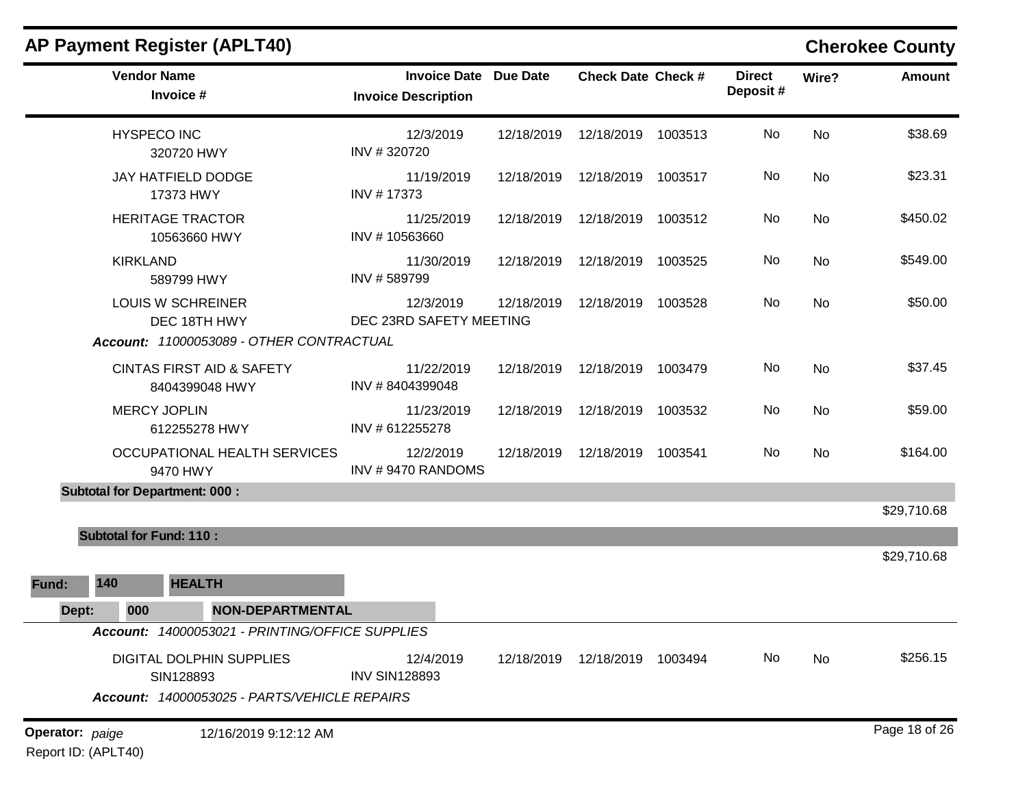|                 |                                | <b>AP Payment Register (APLT40)</b>                                                   |                                                            |            |                           |         |                           |           | <b>Cherokee County</b> |
|-----------------|--------------------------------|---------------------------------------------------------------------------------------|------------------------------------------------------------|------------|---------------------------|---------|---------------------------|-----------|------------------------|
|                 |                                | <b>Vendor Name</b><br>Invoice #                                                       | <b>Invoice Date Due Date</b><br><b>Invoice Description</b> |            | <b>Check Date Check #</b> |         | <b>Direct</b><br>Deposit# | Wire?     | <b>Amount</b>          |
|                 |                                | <b>HYSPECO INC</b><br>320720 HWY                                                      | 12/3/2019<br>INV #320720                                   | 12/18/2019 | 12/18/2019 1003513        |         | No                        | <b>No</b> | \$38.69                |
|                 |                                | JAY HATFIELD DODGE<br>17373 HWY                                                       | 11/19/2019<br>INV #17373                                   | 12/18/2019 | 12/18/2019 1003517        |         | No                        | <b>No</b> | \$23.31                |
|                 |                                | <b>HERITAGE TRACTOR</b><br>10563660 HWY                                               | 11/25/2019<br>INV #10563660                                | 12/18/2019 | 12/18/2019 1003512        |         | No.                       | No        | \$450.02               |
|                 | <b>KIRKLAND</b>                | 589799 HWY                                                                            | 11/30/2019<br>INV #589799                                  | 12/18/2019 | 12/18/2019                | 1003525 | No                        | <b>No</b> | \$549.00               |
|                 |                                | <b>LOUIS W SCHREINER</b><br>DEC 18TH HWY                                              | 12/3/2019<br>DEC 23RD SAFETY MEETING                       | 12/18/2019 | 12/18/2019 1003528        |         | No                        | <b>No</b> | \$50.00                |
|                 |                                | Account: 11000053089 - OTHER CONTRACTUAL                                              |                                                            |            |                           |         |                           |           |                        |
|                 |                                | <b>CINTAS FIRST AID &amp; SAFETY</b><br>8404399048 HWY                                | 11/22/2019<br>INV #8404399048                              | 12/18/2019 | 12/18/2019 1003479        |         | No                        | <b>No</b> | \$37.45                |
|                 |                                | <b>MERCY JOPLIN</b><br>612255278 HWY                                                  | 11/23/2019<br>INV # 612255278                              | 12/18/2019 | 12/18/2019 1003532        |         | No                        | No        | \$59.00                |
|                 |                                | OCCUPATIONAL HEALTH SERVICES<br>9470 HWY                                              | 12/2/2019<br>INV #9470 RANDOMS                             | 12/18/2019 | 12/18/2019 1003541        |         | No.                       | No        | \$164.00               |
|                 |                                | <b>Subtotal for Department: 000:</b>                                                  |                                                            |            |                           |         |                           |           |                        |
|                 |                                |                                                                                       |                                                            |            |                           |         |                           |           | \$29,710.68            |
|                 | <b>Subtotal for Fund: 110:</b> |                                                                                       |                                                            |            |                           |         |                           |           |                        |
|                 |                                |                                                                                       |                                                            |            |                           |         |                           |           | \$29,710.68            |
| Fund:           | 140                            | <b>HEALTH</b>                                                                         |                                                            |            |                           |         |                           |           |                        |
| Dept:           | 000                            | <b>NON-DEPARTMENTAL</b>                                                               |                                                            |            |                           |         |                           |           |                        |
|                 |                                | Account: 14000053021 - PRINTING/OFFICE SUPPLIES                                       |                                                            |            |                           |         |                           |           |                        |
|                 |                                | DIGITAL DOLPHIN SUPPLIES<br>SIN128893<br>Account: 14000053025 - PARTS/VEHICLE REPAIRS | 12/4/2019<br><b>INV SIN128893</b>                          | 12/18/2019 | 12/18/2019 1003494        |         | No                        | No        | \$256.15               |
|                 |                                |                                                                                       |                                                            |            |                           |         |                           |           |                        |
| Operator: paige |                                | 12/16/2019 9:12:12 AM                                                                 |                                                            |            |                           |         |                           |           | Page 18 of 26          |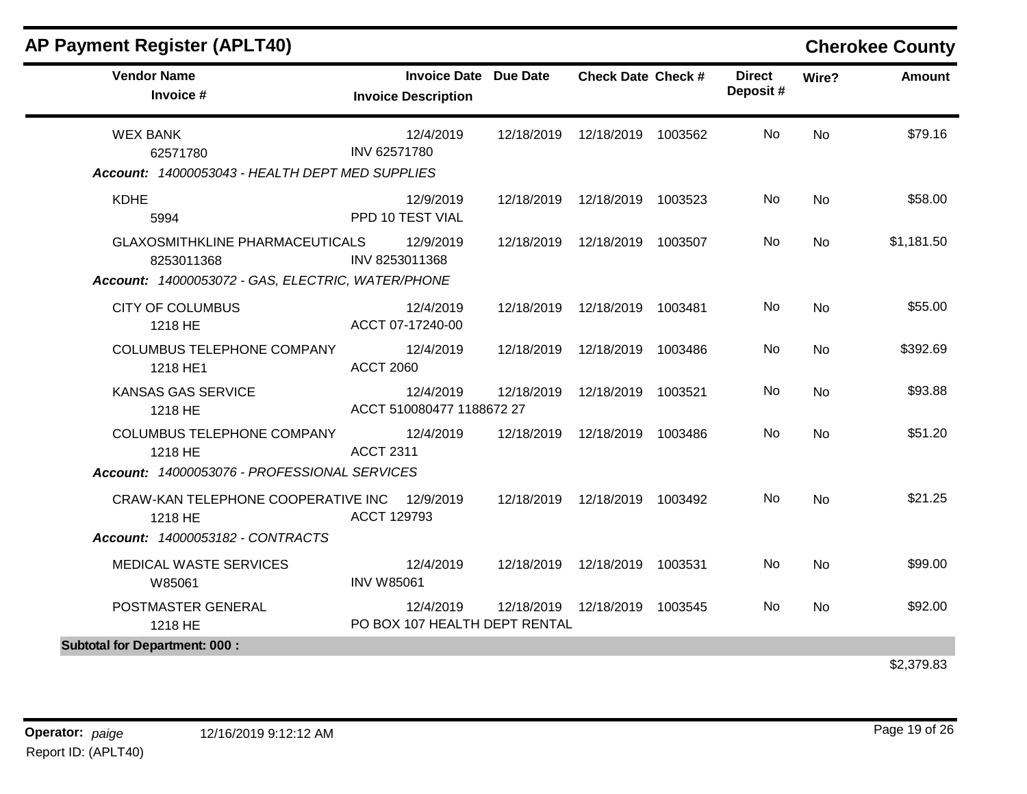| <b>Vendor Name</b><br>Invoice #                                                                           | <b>Invoice Date Due Date</b><br><b>Invoice Description</b> |            | <b>Check Date Check #</b>       |         | <b>Direct</b><br>Deposit# | Wire?          | Amount     |
|-----------------------------------------------------------------------------------------------------------|------------------------------------------------------------|------------|---------------------------------|---------|---------------------------|----------------|------------|
| <b>WEX BANK</b><br>62571780<br>Account: 14000053043 - HEALTH DEPT MED SUPPLIES                            | 12/4/2019<br>INV 62571780                                  | 12/18/2019 | 12/18/2019 1003562              |         | No.                       | N <sub>0</sub> | \$79.16    |
| <b>KDHE</b><br>5994                                                                                       | 12/9/2019<br>PPD 10 TEST VIAL                              |            | 12/18/2019  12/18/2019  1003523 |         | No                        | <b>No</b>      | \$58.00    |
| <b>GLAXOSMITHKLINE PHARMACEUTICALS</b><br>8253011368<br>Account: 14000053072 - GAS, ELECTRIC, WATER/PHONE | 12/9/2019<br>INV 8253011368                                |            | 12/18/2019  12/18/2019  1003507 |         | No                        | <b>No</b>      | \$1,181.50 |
| <b>CITY OF COLUMBUS</b><br>1218 HE                                                                        | 12/4/2019<br>ACCT 07-17240-00                              | 12/18/2019 | 12/18/2019 1003481              |         | <b>No</b>                 | <b>No</b>      | \$55.00    |
| <b>COLUMBUS TELEPHONE COMPANY</b><br>1218 HE1                                                             | 12/4/2019<br><b>ACCT 2060</b>                              | 12/18/2019 | 12/18/2019                      | 1003486 | No.                       | <b>No</b>      | \$392.69   |
| <b>KANSAS GAS SERVICE</b><br>1218 HE                                                                      | 12/4/2019<br>ACCT 510080477 1188672 27                     | 12/18/2019 | 12/18/2019                      | 1003521 | No.                       | <b>No</b>      | \$93.88    |
| <b>COLUMBUS TELEPHONE COMPANY</b><br>1218 HE<br>Account: 14000053076 - PROFESSIONAL SERVICES              | 12/4/2019<br><b>ACCT 2311</b>                              | 12/18/2019 | 12/18/2019 1003486              |         | No.                       | <b>No</b>      | \$51.20    |
| CRAW-KAN TELEPHONE COOPERATIVE INC<br>1218 HE<br>Account: 14000053182 - CONTRACTS                         | 12/9/2019<br>ACCT 129793                                   | 12/18/2019 | 12/18/2019 1003492              |         | No                        | <b>No</b>      | \$21.25    |
| MEDICAL WASTE SERVICES<br>W85061                                                                          | 12/4/2019<br><b>INV W85061</b>                             | 12/18/2019 | 12/18/2019 1003531              |         | No                        | <b>No</b>      | \$99.00    |
| POSTMASTER GENERAL<br>1218 HE                                                                             | 12/4/2019<br>PO BOX 107 HEALTH DEPT RENTAL                 | 12/18/2019 | 12/18/2019 1003545              |         | No.                       | <b>No</b>      | \$92.00    |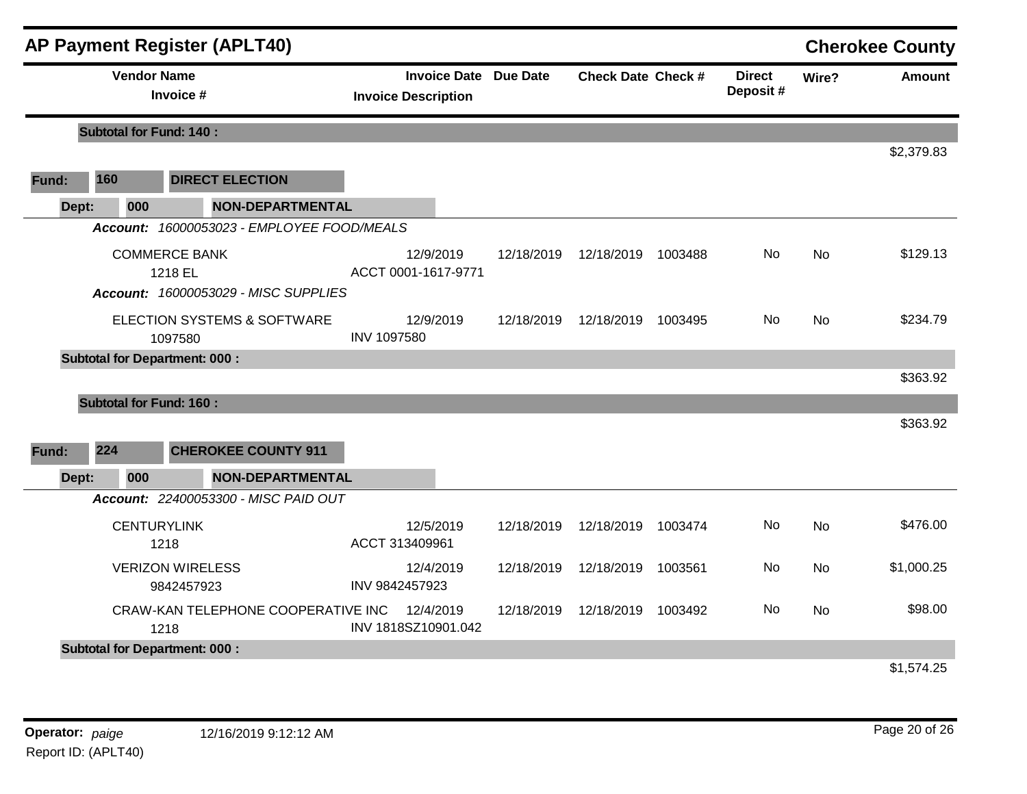|       |                                | <b>AP Payment Register (APLT40)</b>                                     |                                  |                              |                           |         |                           |           | <b>Cherokee County</b> |
|-------|--------------------------------|-------------------------------------------------------------------------|----------------------------------|------------------------------|---------------------------|---------|---------------------------|-----------|------------------------|
|       | <b>Vendor Name</b>             | Invoice #                                                               | <b>Invoice Description</b>       | <b>Invoice Date Due Date</b> | <b>Check Date Check #</b> |         | <b>Direct</b><br>Deposit# | Wire?     | <b>Amount</b>          |
|       | <b>Subtotal for Fund: 140:</b> |                                                                         |                                  |                              |                           |         |                           |           |                        |
| Fund: | 160                            | <b>DIRECT ELECTION</b>                                                  |                                  |                              |                           |         |                           |           | \$2,379.83             |
| Dept: | 000                            | <b>NON-DEPARTMENTAL</b>                                                 |                                  |                              |                           |         |                           |           |                        |
|       |                                | Account: 16000053023 - EMPLOYEE FOOD/MEALS                              |                                  |                              |                           |         |                           |           |                        |
|       |                                | <b>COMMERCE BANK</b><br>1218 EL<br>Account: 16000053029 - MISC SUPPLIES | 12/9/2019<br>ACCT 0001-1617-9771 | 12/18/2019                   | 12/18/2019                | 1003488 | <b>No</b>                 | <b>No</b> | \$129.13               |
|       |                                | <b>ELECTION SYSTEMS &amp; SOFTWARE</b><br>1097580                       | 12/9/2019<br><b>INV 1097580</b>  | 12/18/2019                   | 12/18/2019 1003495        |         | No.                       | <b>No</b> | \$234.79               |
|       |                                | <b>Subtotal for Department: 000:</b>                                    |                                  |                              |                           |         |                           |           | \$363.92               |
|       | <b>Subtotal for Fund: 160:</b> |                                                                         |                                  |                              |                           |         |                           |           |                        |
|       |                                |                                                                         |                                  |                              |                           |         |                           |           | \$363.92               |
| Fund: | 224                            | <b>CHEROKEE COUNTY 911</b>                                              |                                  |                              |                           |         |                           |           |                        |
| Dept: | 000                            | <b>NON-DEPARTMENTAL</b>                                                 |                                  |                              |                           |         |                           |           |                        |
|       |                                | Account: 22400053300 - MISC PAID OUT                                    |                                  |                              |                           |         |                           |           |                        |
|       |                                | <b>CENTURYLINK</b><br>1218                                              | 12/5/2019<br>ACCT 313409961      | 12/18/2019                   | 12/18/2019                | 1003474 | No                        | No        | \$476.00               |
|       |                                | <b>VERIZON WIRELESS</b><br>9842457923                                   | 12/4/2019<br>INV 9842457923      | 12/18/2019                   | 12/18/2019 1003561        |         | No                        | <b>No</b> | \$1,000.25             |
|       |                                | CRAW-KAN TELEPHONE COOPERATIVE INC<br>1218                              | 12/4/2019<br>INV 1818SZ10901.042 | 12/18/2019                   | 12/18/2019                | 1003492 | No                        | <b>No</b> | \$98.00                |
|       |                                | <b>Subtotal for Department: 000:</b>                                    |                                  |                              |                           |         |                           |           |                        |
|       |                                |                                                                         |                                  |                              |                           |         |                           |           | <b>41 574 95</b>       |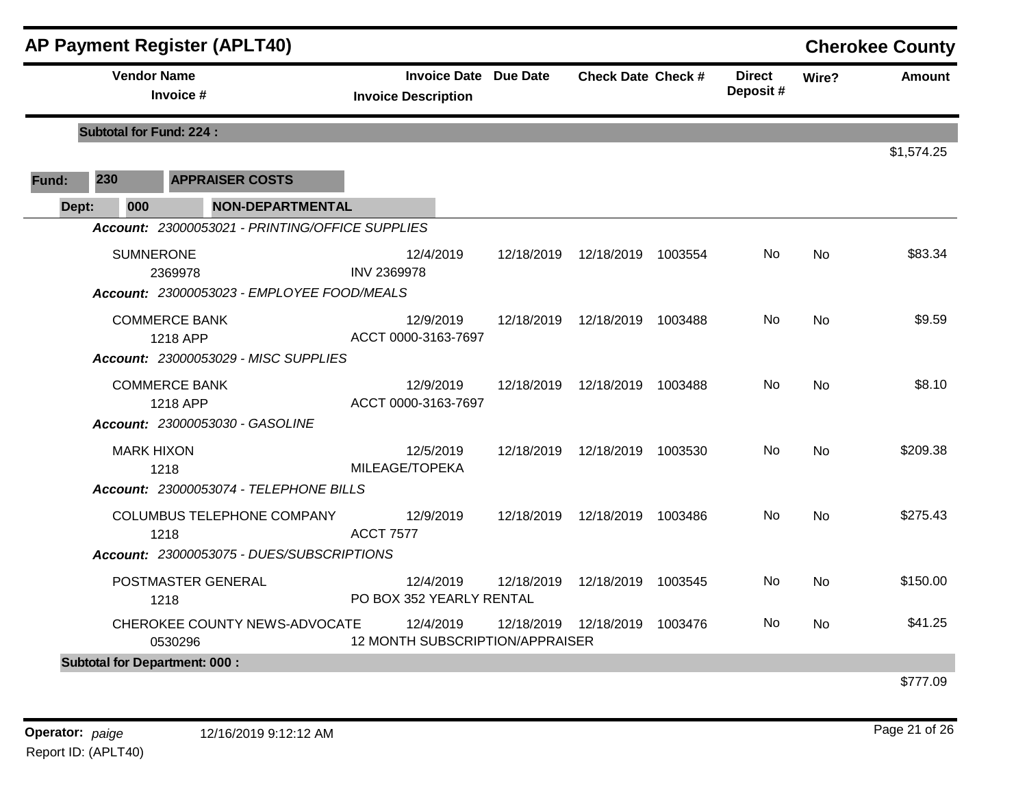|       |     |                    | <b>AP Payment Register (APLT40)</b>             |                                              |                              |                                 |         |                           |           | <b>Cherokee County</b> |
|-------|-----|--------------------|-------------------------------------------------|----------------------------------------------|------------------------------|---------------------------------|---------|---------------------------|-----------|------------------------|
|       |     | <b>Vendor Name</b> | Invoice #                                       | <b>Invoice Description</b>                   | <b>Invoice Date Due Date</b> | <b>Check Date Check #</b>       |         | <b>Direct</b><br>Deposit# | Wire?     | <b>Amount</b>          |
|       |     |                    | <b>Subtotal for Fund: 224:</b>                  |                                              |                              |                                 |         |                           |           |                        |
| Fund: | 230 |                    | <b>APPRAISER COSTS</b>                          |                                              |                              |                                 |         |                           |           | \$1,574.25             |
| Dept: |     | 000                | <b>NON-DEPARTMENTAL</b>                         |                                              |                              |                                 |         |                           |           |                        |
|       |     |                    | Account: 23000053021 - PRINTING/OFFICE SUPPLIES |                                              |                              |                                 |         |                           |           |                        |
|       |     | <b>SUMNERONE</b>   | 2369978                                         | 12/4/2019<br><b>INV 2369978</b>              | 12/18/2019                   | 12/18/2019                      | 1003554 | No.                       | <b>No</b> | \$83.34                |
|       |     |                    | Account: 23000053023 - EMPLOYEE FOOD/MEALS      |                                              |                              |                                 |         |                           |           |                        |
|       |     |                    | <b>COMMERCE BANK</b><br>1218 APP                | 12/9/2019<br>ACCT 0000-3163-7697             | 12/18/2019                   | 12/18/2019                      | 1003488 | No                        | <b>No</b> | \$9.59                 |
|       |     |                    | Account: 23000053029 - MISC SUPPLIES            |                                              |                              |                                 |         |                           |           |                        |
|       |     |                    | <b>COMMERCE BANK</b><br>1218 APP                | 12/9/2019<br>ACCT 0000-3163-7697             |                              | 12/18/2019  12/18/2019          | 1003488 | No.                       | No        | \$8.10                 |
|       |     |                    | <b>Account: 23000053030 - GASOLINE</b>          |                                              |                              |                                 |         |                           |           |                        |
|       |     | <b>MARK HIXON</b>  | 1218                                            | 12/5/2019<br>MILEAGE/TOPEKA                  |                              | 12/18/2019  12/18/2019  1003530 |         | No                        | <b>No</b> | \$209.38               |
|       |     |                    | Account: 23000053074 - TELEPHONE BILLS          |                                              |                              |                                 |         |                           |           |                        |
|       |     |                    | COLUMBUS TELEPHONE COMPANY<br>1218              | 12/9/2019<br><b>ACCT 7577</b>                |                              | 12/18/2019  12/18/2019  1003486 |         | No.                       | <b>No</b> | \$275.43               |
|       |     |                    | Account: 23000053075 - DUES/SUBSCRIPTIONS       |                                              |                              |                                 |         |                           |           |                        |
|       |     |                    | POSTMASTER GENERAL<br>1218                      | 12/4/2019<br>PO BOX 352 YEARLY RENTAL        | 12/18/2019                   | 12/18/2019                      | 1003545 | No                        | <b>No</b> | \$150.00               |
|       |     |                    | CHEROKEE COUNTY NEWS-ADVOCATE<br>0530296        | 12/4/2019<br>12 MONTH SUBSCRIPTION/APPRAISER | 12/18/2019                   | 12/18/2019                      | 1003476 | No                        | No        | \$41.25                |
|       |     |                    | <b>Subtotal for Department: 000:</b>            |                                              |                              |                                 |         |                           |           |                        |
|       |     |                    |                                                 |                                              |                              |                                 |         |                           |           | \$777.09               |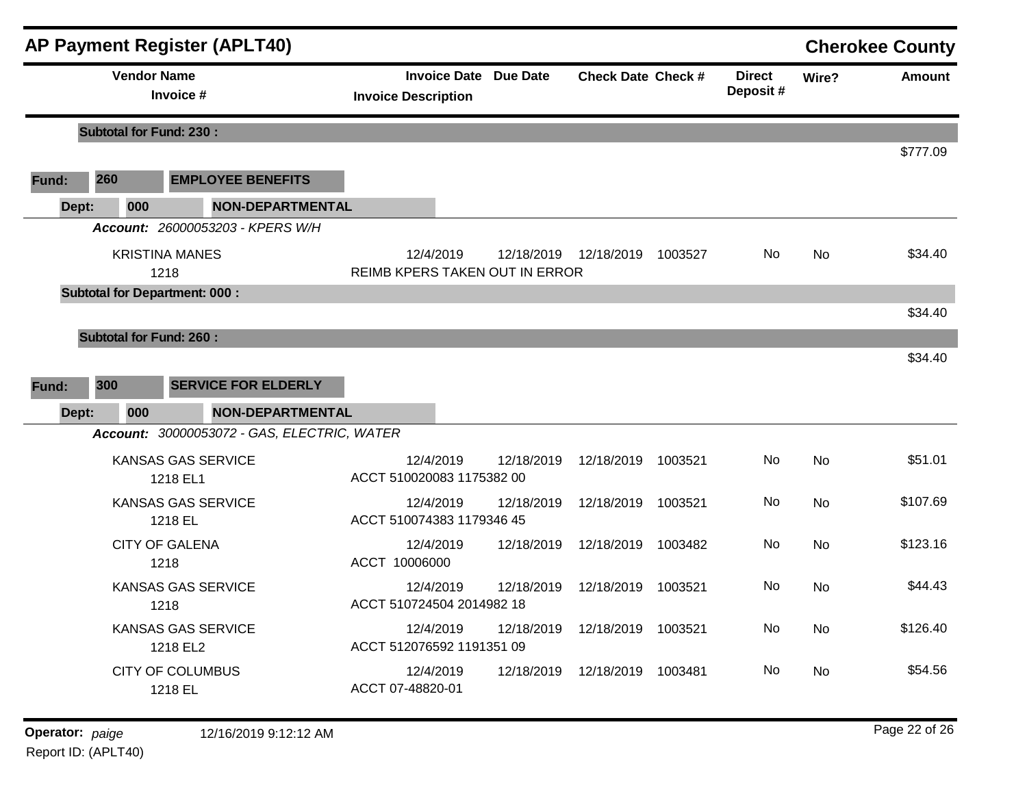|       |                                      | <b>AP Payment Register (APLT40)</b>         |                                |           |                              |                           |         |                           |           | <b>Cherokee County</b> |
|-------|--------------------------------------|---------------------------------------------|--------------------------------|-----------|------------------------------|---------------------------|---------|---------------------------|-----------|------------------------|
|       | <b>Vendor Name</b>                   | Invoice #                                   | <b>Invoice Description</b>     |           | <b>Invoice Date Due Date</b> | <b>Check Date Check #</b> |         | <b>Direct</b><br>Deposit# | Wire?     | Amount                 |
|       | <b>Subtotal for Fund: 230:</b>       |                                             |                                |           |                              |                           |         |                           |           |                        |
|       |                                      |                                             |                                |           |                              |                           |         |                           |           | \$777.09               |
| Fund: | 260                                  | <b>EMPLOYEE BENEFITS</b>                    |                                |           |                              |                           |         |                           |           |                        |
| Dept: | 000                                  | <b>NON-DEPARTMENTAL</b>                     |                                |           |                              |                           |         |                           |           |                        |
|       |                                      | Account: 26000053203 - KPERS W/H            |                                |           |                              |                           |         |                           |           |                        |
|       |                                      | <b>KRISTINA MANES</b><br>1218               | REIMB KPERS TAKEN OUT IN ERROR | 12/4/2019 | 12/18/2019                   | 12/18/2019                | 1003527 | No.                       | <b>No</b> | \$34.40                |
|       | <b>Subtotal for Department: 000:</b> |                                             |                                |           |                              |                           |         |                           |           |                        |
|       |                                      |                                             |                                |           |                              |                           |         |                           |           | \$34.40                |
|       | <b>Subtotal for Fund: 260:</b>       |                                             |                                |           |                              |                           |         |                           |           |                        |
|       |                                      |                                             |                                |           |                              |                           |         |                           |           | \$34.40                |
| Fund: | 300                                  | <b>SERVICE FOR ELDERLY</b>                  |                                |           |                              |                           |         |                           |           |                        |
| Dept: | 000                                  | NON-DEPARTMENTAL                            |                                |           |                              |                           |         |                           |           |                        |
|       |                                      | Account: 30000053072 - GAS, ELECTRIC, WATER |                                |           |                              |                           |         |                           |           |                        |
|       |                                      | <b>KANSAS GAS SERVICE</b><br>1218 EL1       | ACCT 510020083 1175382 00      | 12/4/2019 | 12/18/2019                   | 12/18/2019                | 1003521 | No                        | <b>No</b> | \$51.01                |
|       |                                      | <b>KANSAS GAS SERVICE</b><br>1218 EL        | ACCT 510074383 1179346 45      | 12/4/2019 | 12/18/2019                   | 12/18/2019                | 1003521 | No                        | <b>No</b> | \$107.69               |
|       |                                      | <b>CITY OF GALENA</b><br>1218               | ACCT 10006000                  | 12/4/2019 | 12/18/2019                   | 12/18/2019 1003482        |         | No                        | No        | \$123.16               |
|       |                                      | <b>KANSAS GAS SERVICE</b><br>1218           | ACCT 510724504 2014982 18      | 12/4/2019 | 12/18/2019                   | 12/18/2019                | 1003521 | No                        | No        | \$44.43                |
|       |                                      | <b>KANSAS GAS SERVICE</b><br>1218 EL2       | ACCT 512076592 1191351 09      | 12/4/2019 | 12/18/2019                   | 12/18/2019 1003521        |         | No.                       | No        | \$126.40               |
|       |                                      | <b>CITY OF COLUMBUS</b><br>1218 EL          | ACCT 07-48820-01               | 12/4/2019 | 12/18/2019                   | 12/18/2019 1003481        |         | No.                       | No        | \$54.56                |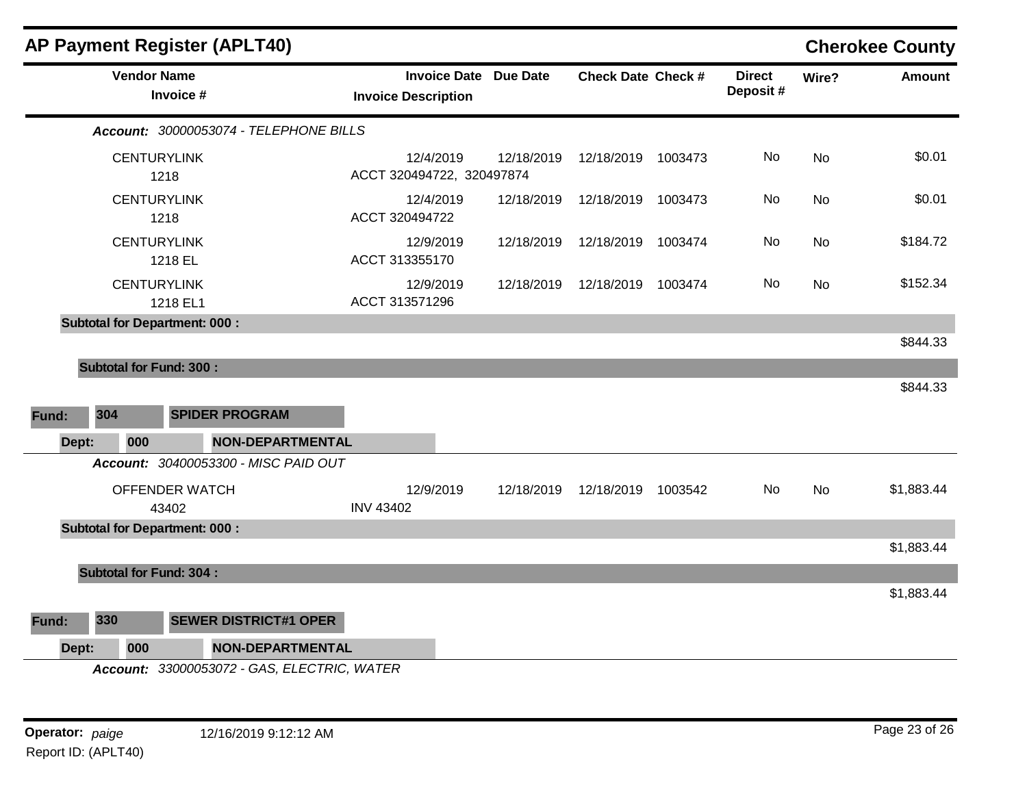|       |                                       | <b>AP Payment Register (APLT40)</b>         |                                                            |            |                           |                           |           | <b>Cherokee County</b> |
|-------|---------------------------------------|---------------------------------------------|------------------------------------------------------------|------------|---------------------------|---------------------------|-----------|------------------------|
|       | <b>Vendor Name</b>                    | Invoice #                                   | <b>Invoice Date Due Date</b><br><b>Invoice Description</b> |            | <b>Check Date Check #</b> | <b>Direct</b><br>Deposit# | Wire?     | <b>Amount</b>          |
|       |                                       | Account: 30000053074 - TELEPHONE BILLS      |                                                            |            |                           |                           |           |                        |
|       | <b>CENTURYLINK</b>                    | 1218                                        | 12/4/2019<br>ACCT 320494722, 320497874                     | 12/18/2019 | 12/18/2019 1003473        | No                        | No        | \$0.01                 |
|       | <b>CENTURYLINK</b>                    | 1218                                        | 12/4/2019<br>ACCT 320494722                                | 12/18/2019 | 12/18/2019 1003473        | No                        | <b>No</b> | \$0.01                 |
|       | <b>CENTURYLINK</b>                    | 1218 EL                                     | 12/9/2019<br>ACCT 313355170                                | 12/18/2019 | 12/18/2019 1003474        | No                        | <b>No</b> | \$184.72               |
|       | <b>CENTURYLINK</b>                    | 1218 EL1                                    | 12/9/2019<br>ACCT 313571296                                | 12/18/2019 | 12/18/2019 1003474        | No                        | No        | \$152.34               |
|       |                                       | <b>Subtotal for Department: 000:</b>        |                                                            |            |                           |                           |           |                        |
| Fund: | <b>Subtotal for Fund: 300:</b><br>304 | <b>SPIDER PROGRAM</b>                       |                                                            |            |                           |                           |           | \$844.33               |
| Dept: | 000                                   | <b>NON-DEPARTMENTAL</b>                     |                                                            |            |                           |                           |           |                        |
|       |                                       | Account: 30400053300 - MISC PAID OUT        |                                                            |            |                           |                           |           |                        |
|       |                                       | OFFENDER WATCH<br>43402                     | 12/9/2019<br><b>INV 43402</b>                              | 12/18/2019 | 12/18/2019 1003542        | No                        | No        | \$1,883.44             |
|       |                                       | <b>Subtotal for Department: 000:</b>        |                                                            |            |                           |                           |           |                        |
|       |                                       |                                             |                                                            |            |                           |                           |           | \$1,883.44             |
|       | <b>Subtotal for Fund: 304:</b>        |                                             |                                                            |            |                           |                           |           |                        |
|       |                                       |                                             |                                                            |            |                           |                           |           | \$1,883.44             |
| Fund: | 330                                   | <b>SEWER DISTRICT#1 OPER</b>                |                                                            |            |                           |                           |           |                        |
| Dept: | 000                                   | <b>NON-DEPARTMENTAL</b>                     |                                                            |            |                           |                           |           |                        |
|       |                                       | Account: 33000053072 - GAS, ELECTRIC, WATER |                                                            |            |                           |                           |           |                        |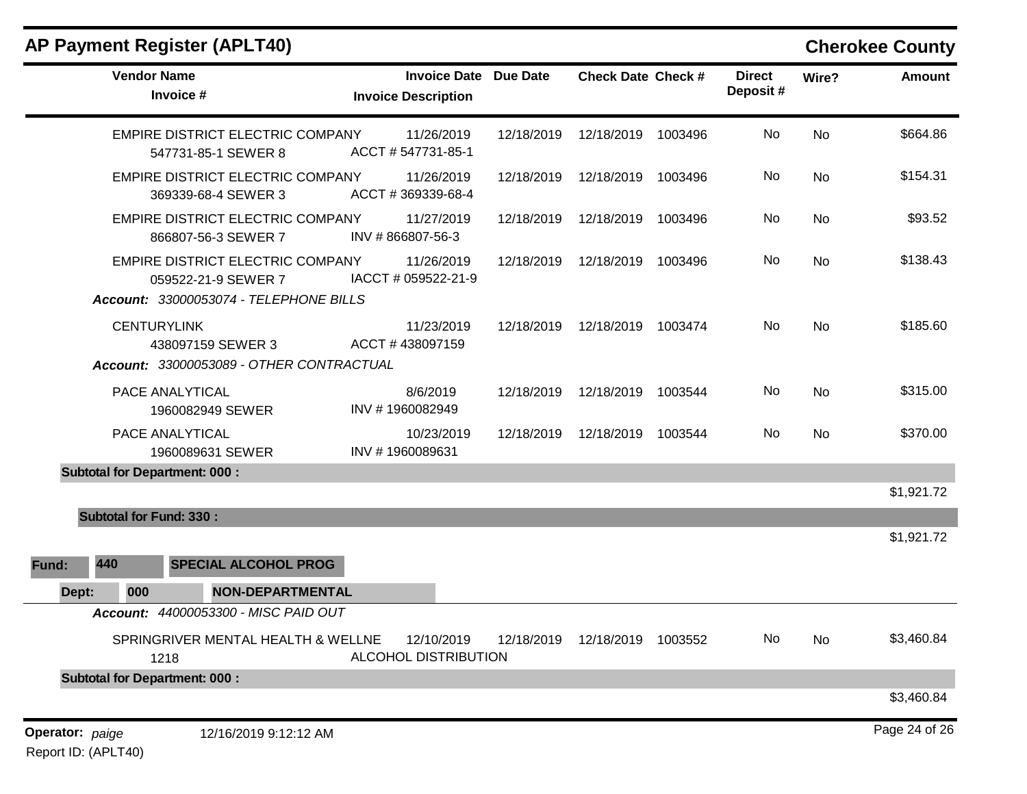| <b>AP Payment Register (APLT40)</b>                                                                      |                                                            |            |                           |         |                           |           | <b>Cherokee County</b> |
|----------------------------------------------------------------------------------------------------------|------------------------------------------------------------|------------|---------------------------|---------|---------------------------|-----------|------------------------|
| <b>Vendor Name</b><br>Invoice #                                                                          | <b>Invoice Date Due Date</b><br><b>Invoice Description</b> |            | <b>Check Date Check #</b> |         | <b>Direct</b><br>Deposit# | Wire?     | <b>Amount</b>          |
| EMPIRE DISTRICT ELECTRIC COMPANY<br>547731-85-1 SEWER 8                                                  | 11/26/2019<br>ACCT #547731-85-1                            | 12/18/2019 | 12/18/2019                | 1003496 | No                        | No        | \$664.86               |
| EMPIRE DISTRICT ELECTRIC COMPANY<br>369339-68-4 SEWER 3                                                  | 11/26/2019<br>ACCT #369339-68-4                            | 12/18/2019 | 12/18/2019                | 1003496 | No                        | No        | \$154.31               |
| EMPIRE DISTRICT ELECTRIC COMPANY<br>866807-56-3 SEWER 7                                                  | 11/27/2019<br>INV #866807-56-3                             | 12/18/2019 | 12/18/2019                | 1003496 | No                        | No        | \$93.52                |
| <b>EMPIRE DISTRICT ELECTRIC COMPANY</b><br>059522-21-9 SEWER 7<br>Account: 33000053074 - TELEPHONE BILLS | 11/26/2019<br>IACCT # 059522-21-9                          | 12/18/2019 | 12/18/2019                | 1003496 | No                        | No        | \$138.43               |
| <b>CENTURYLINK</b><br>438097159 SEWER 3<br>Account: 33000053089 - OTHER CONTRACTUAL                      | 11/23/2019<br>ACCT #438097159                              | 12/18/2019 | 12/18/2019                | 1003474 | No                        | <b>No</b> | \$185.60               |
| <b>PACE ANALYTICAL</b><br>1960082949 SEWER                                                               | 8/6/2019<br>INV #1960082949                                | 12/18/2019 | 12/18/2019                | 1003544 | No                        | No        | \$315.00               |
| PACE ANALYTICAL<br>1960089631 SEWER                                                                      | 10/23/2019<br>INV #1960089631                              | 12/18/2019 | 12/18/2019                | 1003544 | <b>No</b>                 | No        | \$370.00               |
| <b>Subtotal for Department: 000:</b>                                                                     |                                                            |            |                           |         |                           |           |                        |
|                                                                                                          |                                                            |            |                           |         |                           |           | \$1,921.72             |
| <b>Subtotal for Fund: 330:</b>                                                                           |                                                            |            |                           |         |                           |           | \$1,921.72             |
| 440<br><b>SPECIAL ALCOHOL PROG</b><br>Fund:                                                              |                                                            |            |                           |         |                           |           |                        |
| <b>NON-DEPARTMENTAL</b><br>000<br>Dept:                                                                  |                                                            |            |                           |         |                           |           |                        |
| Account: 44000053300 - MISC PAID OUT                                                                     |                                                            |            |                           |         |                           |           |                        |
| SPRINGRIVER MENTAL HEALTH & WELLNE<br>1218                                                               | 12/10/2019<br>ALCOHOL DISTRIBUTION                         | 12/18/2019 | 12/18/2019 1003552        |         | No                        | No        | \$3,460.84             |
| <b>Subtotal for Department: 000:</b>                                                                     |                                                            |            |                           |         |                           |           |                        |
|                                                                                                          |                                                            |            |                           |         |                           |           | \$3,460.84             |
| Operator: paige<br>12/16/2019 9:12:12 AM                                                                 |                                                            |            |                           |         |                           |           | Page 24 of 26          |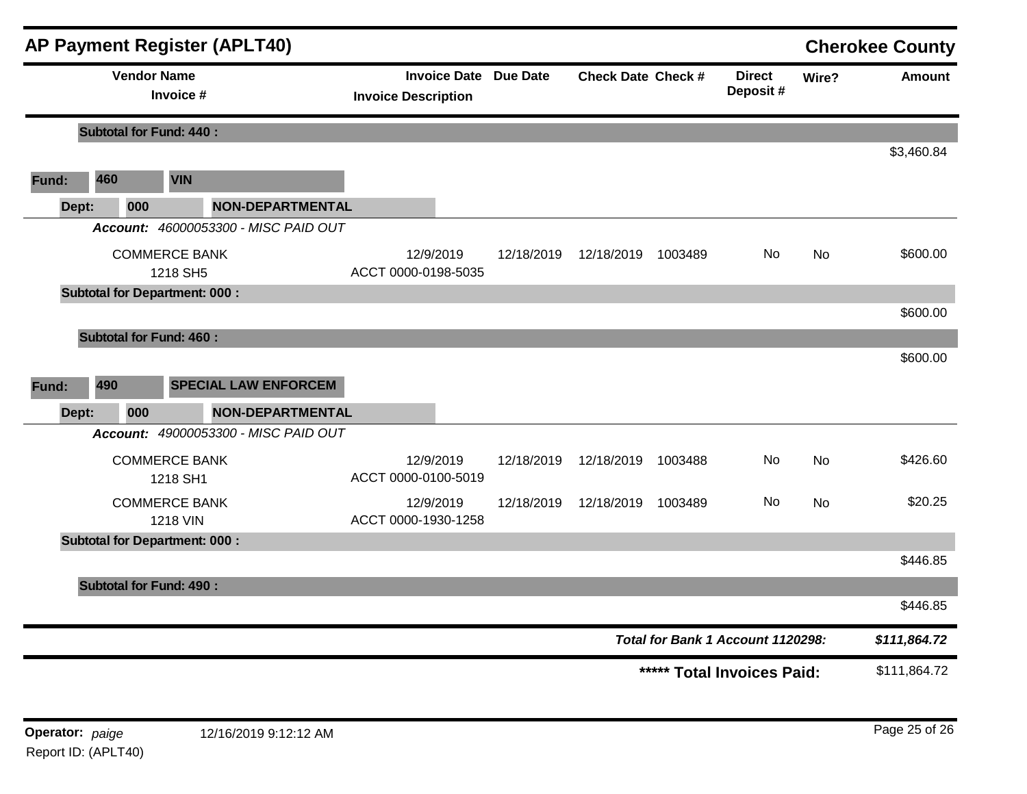|                                   |                                      | <b>AP Payment Register (APLT40)</b>     |                                  |                              |                            |         |                            |           | <b>Cherokee County</b> |
|-----------------------------------|--------------------------------------|-----------------------------------------|----------------------------------|------------------------------|----------------------------|---------|----------------------------|-----------|------------------------|
|                                   | <b>Vendor Name</b>                   | Invoice #                               | <b>Invoice Description</b>       | <b>Invoice Date Due Date</b> | <b>Check Date Check #</b>  |         | <b>Direct</b><br>Deposit # | Wire?     | Amount                 |
|                                   | <b>Subtotal for Fund: 440:</b>       |                                         |                                  |                              |                            |         |                            |           |                        |
|                                   |                                      |                                         |                                  |                              |                            |         |                            |           | \$3,460.84             |
| Fund:                             | 460                                  | <b>VIN</b>                              |                                  |                              |                            |         |                            |           |                        |
| Dept:                             | 000                                  | <b>NON-DEPARTMENTAL</b>                 |                                  |                              |                            |         |                            |           |                        |
|                                   |                                      | Account: 46000053300 - MISC PAID OUT    |                                  |                              |                            |         |                            |           |                        |
|                                   | <b>COMMERCE BANK</b><br>1218 SH5     |                                         | 12/9/2019<br>ACCT 0000-0198-5035 | 12/18/2019                   | 12/18/2019                 | 1003489 | No                         | <b>No</b> | \$600.00               |
|                                   | <b>Subtotal for Department: 000:</b> |                                         |                                  |                              |                            |         |                            |           |                        |
|                                   |                                      |                                         |                                  |                              |                            |         |                            |           | \$600.00               |
|                                   | <b>Subtotal for Fund: 460:</b>       |                                         |                                  |                              |                            |         |                            |           |                        |
|                                   |                                      |                                         |                                  |                              |                            |         |                            |           | \$600.00               |
| Fund:                             | 490                                  | <b>SPECIAL LAW ENFORCEM</b>             |                                  |                              |                            |         |                            |           |                        |
| Dept:                             | 000                                  | <b>NON-DEPARTMENTAL</b>                 |                                  |                              |                            |         |                            |           |                        |
|                                   |                                      | Account: 49000053300 - MISC PAID OUT    |                                  |                              |                            |         |                            |           |                        |
|                                   | <b>COMMERCE BANK</b><br>1218 SH1     |                                         | 12/9/2019<br>ACCT 0000-0100-5019 | 12/18/2019                   | 12/18/2019                 | 1003488 | No                         | <b>No</b> | \$426.60               |
|                                   |                                      | <b>COMMERCE BANK</b><br><b>1218 VIN</b> | 12/9/2019<br>ACCT 0000-1930-1258 | 12/18/2019                   | 12/18/2019                 | 1003489 | No                         | No        | \$20.25                |
|                                   | <b>Subtotal for Department: 000:</b> |                                         |                                  |                              |                            |         |                            |           |                        |
|                                   |                                      |                                         |                                  |                              |                            |         |                            |           | \$446.85               |
|                                   | <b>Subtotal for Fund: 490:</b>       |                                         |                                  |                              |                            |         |                            |           |                        |
|                                   |                                      |                                         |                                  |                              |                            |         |                            |           | \$446.85               |
| Total for Bank 1 Account 1120298: |                                      |                                         |                                  |                              |                            |         |                            |           | \$111,864.72           |
|                                   |                                      |                                         |                                  |                              | ***** Total Invoices Paid: |         |                            |           | \$111,864.72           |